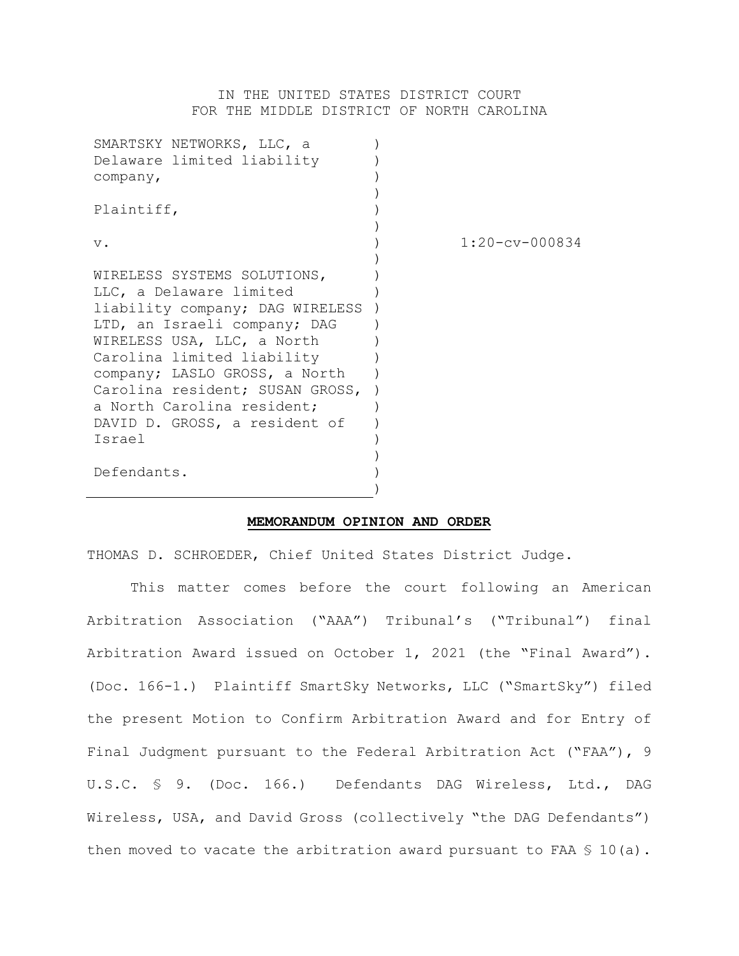## IN THE UNITED STATES DISTRICT COURT FOR THE MIDDLE DISTRICT OF NORTH CAROLINA

| SMARTSKY NETWORKS, LLC, a       |                        |
|---------------------------------|------------------------|
| Delaware limited liability      |                        |
| company,                        |                        |
|                                 |                        |
| Plaintiff,                      |                        |
|                                 |                        |
| $V$ .                           | $1:20$ - $cv$ - 000834 |
|                                 |                        |
| WIRELESS SYSTEMS SOLUTIONS,     |                        |
| LLC, a Delaware limited         |                        |
| liability company; DAG WIRELESS |                        |
| LTD, an Israeli company; DAG    |                        |
| WIRELESS USA, LLC, a North      |                        |
| Carolina limited liability      |                        |
| company; LASLO GROSS, a North   |                        |
| Carolina resident; SUSAN GROSS, |                        |
| a North Carolina resident;      |                        |
| DAVID D. GROSS, a resident of   |                        |
| Israel                          |                        |
|                                 |                        |
| Defendants.                     |                        |
|                                 |                        |

## **MEMORANDUM OPINION AND ORDER**

THOMAS D. SCHROEDER, Chief United States District Judge.

This matter comes before the court following an American Arbitration Association ("AAA") Tribunal's ("Tribunal") final Arbitration Award issued on October 1, 2021 (the "Final Award"). (Doc. 166-1.) Plaintiff SmartSky Networks, LLC ("SmartSky") filed the present Motion to Confirm Arbitration Award and for Entry of Final Judgment pursuant to the Federal Arbitration Act ("FAA"), 9 U.S.C. § 9. (Doc. 166.) Defendants DAG Wireless, Ltd., DAG Wireless, USA, and David Gross (collectively "the DAG Defendants") then moved to vacate the arbitration award pursuant to FAA § 10(a).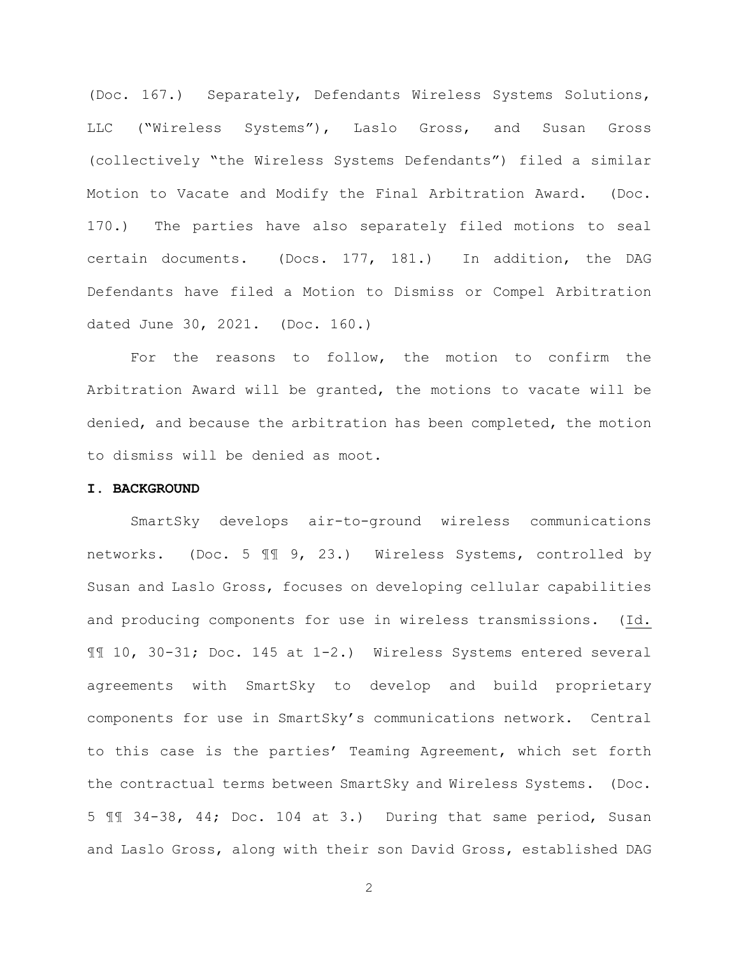(Doc. 167.) Separately, Defendants Wireless Systems Solutions, LLC ("Wireless Systems"), Laslo Gross, and Susan Gross (collectively "the Wireless Systems Defendants") filed a similar Motion to Vacate and Modify the Final Arbitration Award. (Doc. 170.) The parties have also separately filed motions to seal certain documents. (Docs. 177, 181.) In addition, the DAG Defendants have filed a Motion to Dismiss or Compel Arbitration dated June 30, 2021. (Doc. 160.)

For the reasons to follow, the motion to confirm the Arbitration Award will be granted, the motions to vacate will be denied, and because the arbitration has been completed, the motion to dismiss will be denied as moot.

### **I. BACKGROUND**

SmartSky develops air-to-ground wireless communications networks. (Doc. 5 ¶¶ 9, 23.) Wireless Systems, controlled by Susan and Laslo Gross, focuses on developing cellular capabilities and producing components for use in wireless transmissions. (Id. ¶¶ 10, 30-31; Doc. 145 at 1-2.) Wireless Systems entered several agreements with SmartSky to develop and build proprietary components for use in SmartSky's communications network. Central to this case is the parties' Teaming Agreement, which set forth the contractual terms between SmartSky and Wireless Systems. (Doc. 5 ¶¶ 34-38, 44; Doc. 104 at 3.) During that same period, Susan and Laslo Gross, along with their son David Gross, established DAG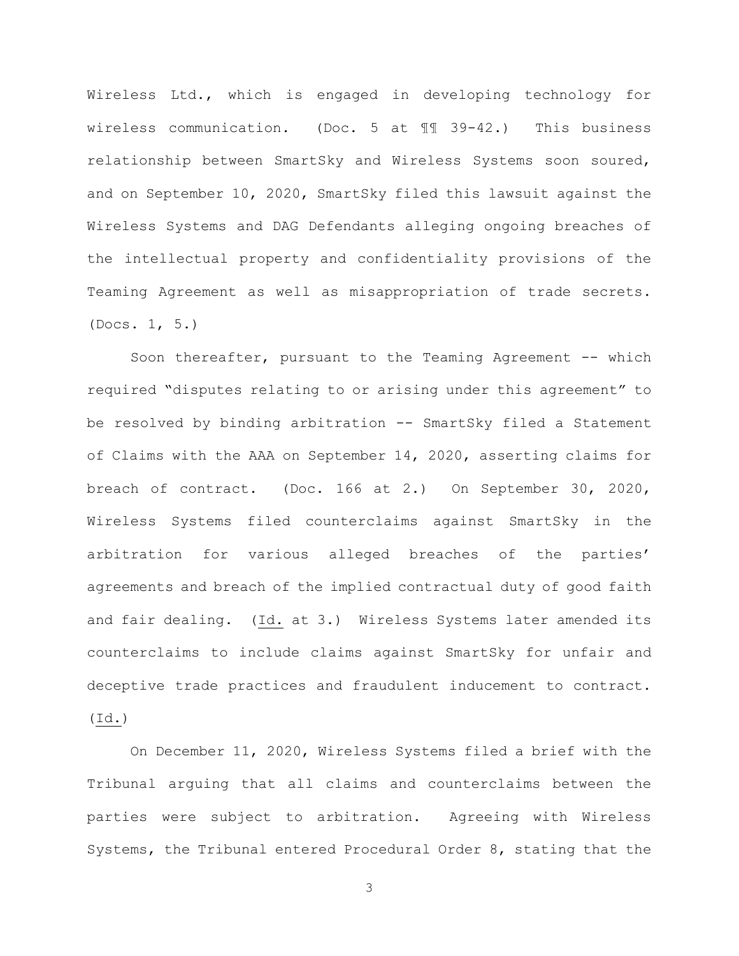Wireless Ltd., which is engaged in developing technology for wireless communication. (Doc. 5 at ¶¶ 39-42.) This business relationship between SmartSky and Wireless Systems soon soured, and on September 10, 2020, SmartSky filed this lawsuit against the Wireless Systems and DAG Defendants alleging ongoing breaches of the intellectual property and confidentiality provisions of the Teaming Agreement as well as misappropriation of trade secrets. (Docs. 1, 5.)

Soon thereafter, pursuant to the Teaming Agreement -- which required "disputes relating to or arising under this agreement" to be resolved by binding arbitration -- SmartSky filed a Statement of Claims with the AAA on September 14, 2020, asserting claims for breach of contract. (Doc. 166 at 2.) On September 30, 2020, Wireless Systems filed counterclaims against SmartSky in the arbitration for various alleged breaches of the parties' agreements and breach of the implied contractual duty of good faith and fair dealing. (Id. at 3.) Wireless Systems later amended its counterclaims to include claims against SmartSky for unfair and deceptive trade practices and fraudulent inducement to contract. (Id.)

On December 11, 2020, Wireless Systems filed a brief with the Tribunal arguing that all claims and counterclaims between the parties were subject to arbitration. Agreeing with Wireless Systems, the Tribunal entered Procedural Order 8, stating that the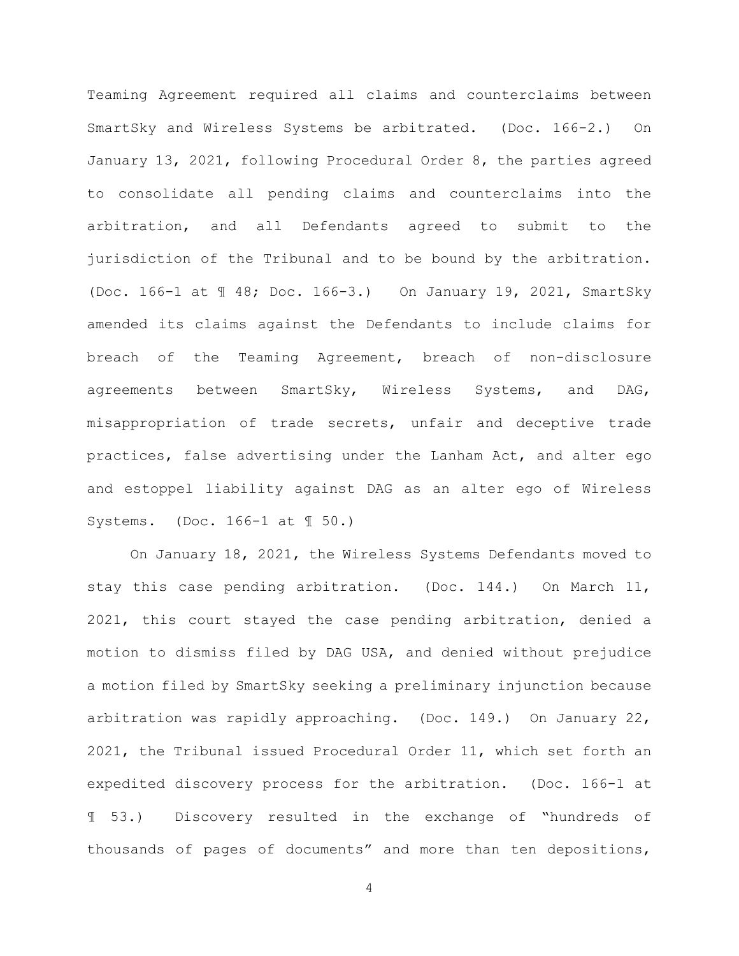Teaming Agreement required all claims and counterclaims between SmartSky and Wireless Systems be arbitrated. (Doc. 166-2.) On January 13, 2021, following Procedural Order 8, the parties agreed to consolidate all pending claims and counterclaims into the arbitration, and all Defendants agreed to submit to the jurisdiction of the Tribunal and to be bound by the arbitration. (Doc. 166-1 at ¶ 48; Doc. 166-3.) On January 19, 2021, SmartSky amended its claims against the Defendants to include claims for breach of the Teaming Agreement, breach of non-disclosure agreements between SmartSky, Wireless Systems, and DAG, misappropriation of trade secrets, unfair and deceptive trade practices, false advertising under the Lanham Act, and alter ego and estoppel liability against DAG as an alter ego of Wireless Systems. (Doc. 166-1 at ¶ 50.)

On January 18, 2021, the Wireless Systems Defendants moved to stay this case pending arbitration. (Doc. 144.) On March 11, 2021, this court stayed the case pending arbitration, denied a motion to dismiss filed by DAG USA, and denied without prejudice a motion filed by SmartSky seeking a preliminary injunction because arbitration was rapidly approaching. (Doc. 149.) On January 22, 2021, the Tribunal issued Procedural Order 11, which set forth an expedited discovery process for the arbitration. (Doc. 166-1 at ¶ 53.) Discovery resulted in the exchange of "hundreds of thousands of pages of documents" and more than ten depositions,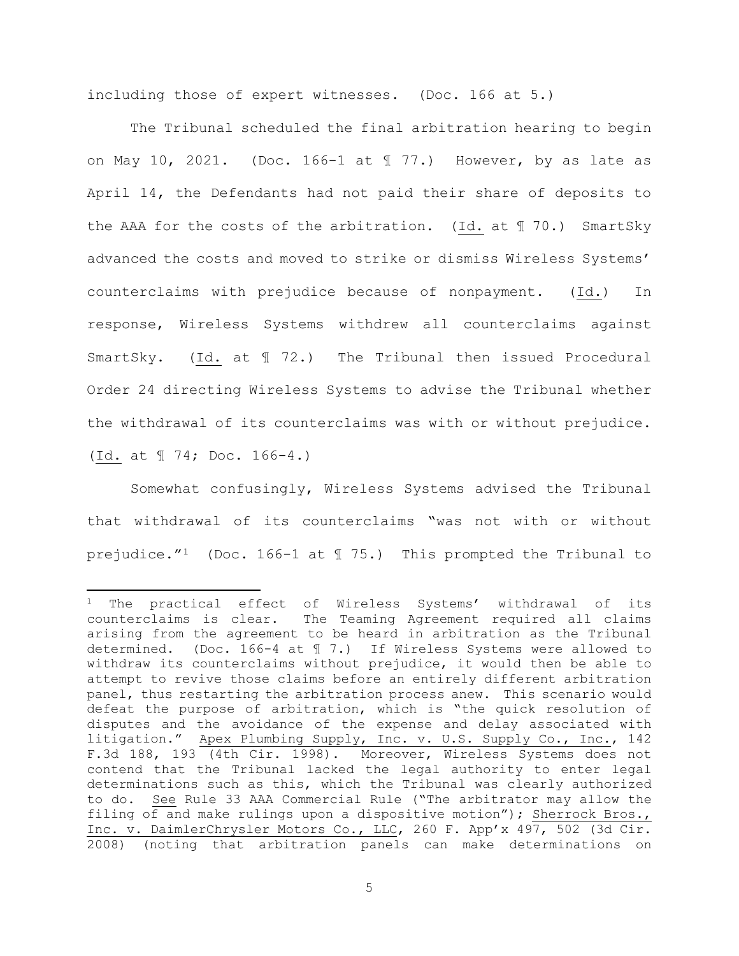including those of expert witnesses. (Doc. 166 at 5.)

The Tribunal scheduled the final arbitration hearing to begin on May 10, 2021. (Doc. 166-1 at  $\text{\texttt{M}}$  77.) However, by as late as April 14, the Defendants had not paid their share of deposits to the AAA for the costs of the arbitration. (Id. at  $\mathbb I$  70.) SmartSky advanced the costs and moved to strike or dismiss Wireless Systems' counterclaims with prejudice because of nonpayment. (Id.) In response, Wireless Systems withdrew all counterclaims against SmartSky. (Id. at ¶ 72.) The Tribunal then issued Procedural Order 24 directing Wireless Systems to advise the Tribunal whether the withdrawal of its counterclaims was with or without prejudice. (Id. at ¶ 74; Doc. 166-4.)

Somewhat confusingly, Wireless Systems advised the Tribunal that withdrawal of its counterclaims "was not with or without prejudice."1 (Doc. 166-1 at ¶ 75.) This prompted the Tribunal to

<sup>&</sup>lt;sup>1</sup> The practical effect of Wireless Systems' withdrawal of its counterclaims is clear. The Teaming Agreement required all claims arising from the agreement to be heard in arbitration as the Tribunal determined. (Doc. 166-4 at ¶ 7.) If Wireless Systems were allowed to withdraw its counterclaims without prejudice, it would then be able to attempt to revive those claims before an entirely different arbitration panel, thus restarting the arbitration process anew. This scenario would defeat the purpose of arbitration, which is "the quick resolution of disputes and the avoidance of the expense and delay associated with litigation." Apex Plumbing Supply, Inc. v. U.S. Supply Co., Inc., 142 F.3d 188, 193 (4th Cir. 1998). Moreover, Wireless Systems does not contend that the Tribunal lacked the legal authority to enter legal determinations such as this, which the Tribunal was clearly authorized to do. See Rule 33 AAA Commercial Rule ("The arbitrator may allow the filing of and make rulings upon a dispositive motion"); Sherrock Bros., Inc. v. DaimlerChrysler Motors Co., LLC, 260 F. App'x 497, 502 (3d Cir. 2008) (noting that arbitration panels can make determinations on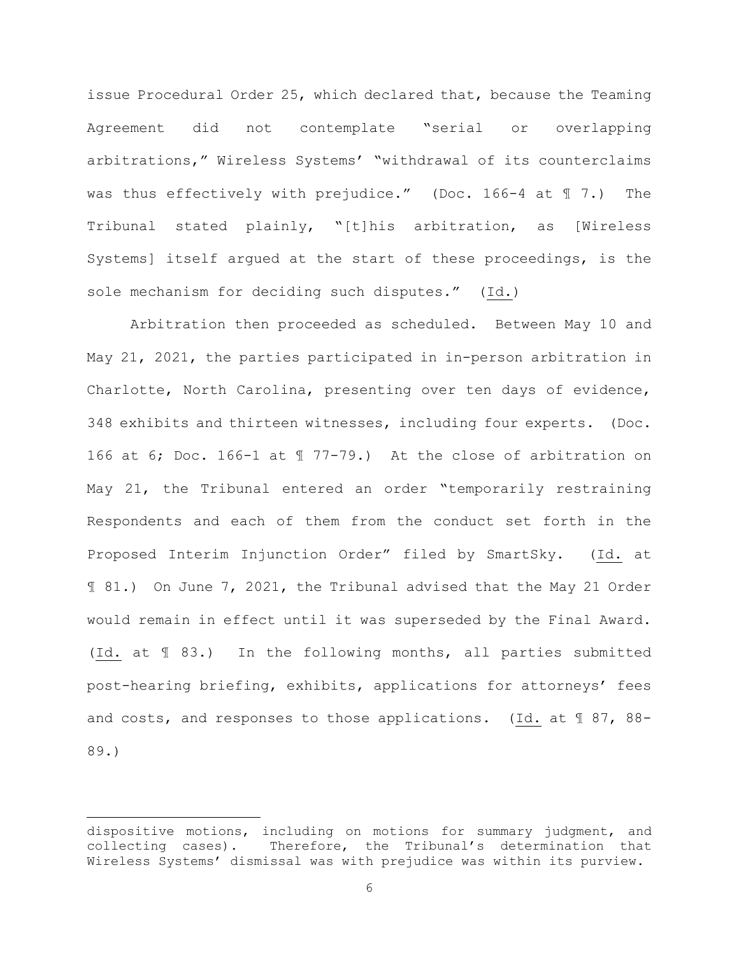issue Procedural Order 25, which declared that, because the Teaming Agreement did not contemplate "serial or overlapping arbitrations," Wireless Systems' "withdrawal of its counterclaims was thus effectively with prejudice." (Doc. 166-4 at 17.) The Tribunal stated plainly, "[t]his arbitration, as [Wireless Systems] itself argued at the start of these proceedings, is the sole mechanism for deciding such disputes." (Id.)

Arbitration then proceeded as scheduled. Between May 10 and May 21, 2021, the parties participated in in-person arbitration in Charlotte, North Carolina, presenting over ten days of evidence, 348 exhibits and thirteen witnesses, including four experts. (Doc. 166 at 6; Doc. 166-1 at ¶ 77-79.) At the close of arbitration on May 21, the Tribunal entered an order "temporarily restraining Respondents and each of them from the conduct set forth in the Proposed Interim Injunction Order" filed by SmartSky. (Id. at ¶ 81.) On June 7, 2021, the Tribunal advised that the May 21 Order would remain in effect until it was superseded by the Final Award. (Id. at ¶ 83.) In the following months, all parties submitted post-hearing briefing, exhibits, applications for attorneys' fees and costs, and responses to those applications. (Id. at 1 87, 88-89.)

dispositive motions, including on motions for summary judgment, and collecting cases). Therefore, the Tribunal's determination that Therefore, the Tribunal's determination that Wireless Systems' dismissal was with prejudice was within its purview.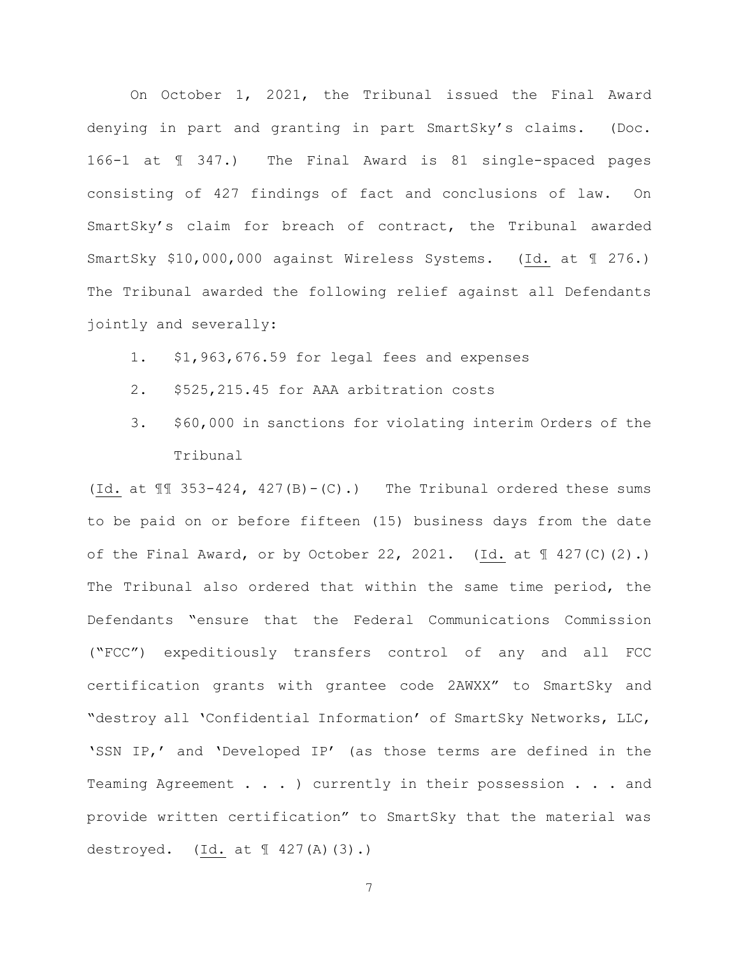On October 1, 2021, the Tribunal issued the Final Award denying in part and granting in part SmartSky's claims. (Doc. 166-1 at ¶ 347.) The Final Award is 81 single-spaced pages consisting of 427 findings of fact and conclusions of law. On SmartSky's claim for breach of contract, the Tribunal awarded SmartSky \$10,000,000 against Wireless Systems. (Id. at ¶ 276.) The Tribunal awarded the following relief against all Defendants jointly and severally:

- 1. \$1,963,676.59 for legal fees and expenses
- 2. \$525,215.45 for AAA arbitration costs
- 3. \$60,000 in sanctions for violating interim Orders of the Tribunal

(Id. at  $\mathbb{I}$  353-424, 427(B)-(C).) The Tribunal ordered these sums to be paid on or before fifteen (15) business days from the date of the Final Award, or by October 22, 2021. (Id. at  $\mathbb{I}$  427(C)(2).) The Tribunal also ordered that within the same time period, the Defendants "ensure that the Federal Communications Commission ("FCC") expeditiously transfers control of any and all FCC certification grants with grantee code 2AWXX" to SmartSky and "destroy all 'Confidential Information' of SmartSky Networks, LLC, 'SSN IP,' and 'Developed IP' (as those terms are defined in the Teaming Agreement . . . ) currently in their possession . . . and provide written certification" to SmartSky that the material was destroyed. (Id. at ¶ 427(A)(3).)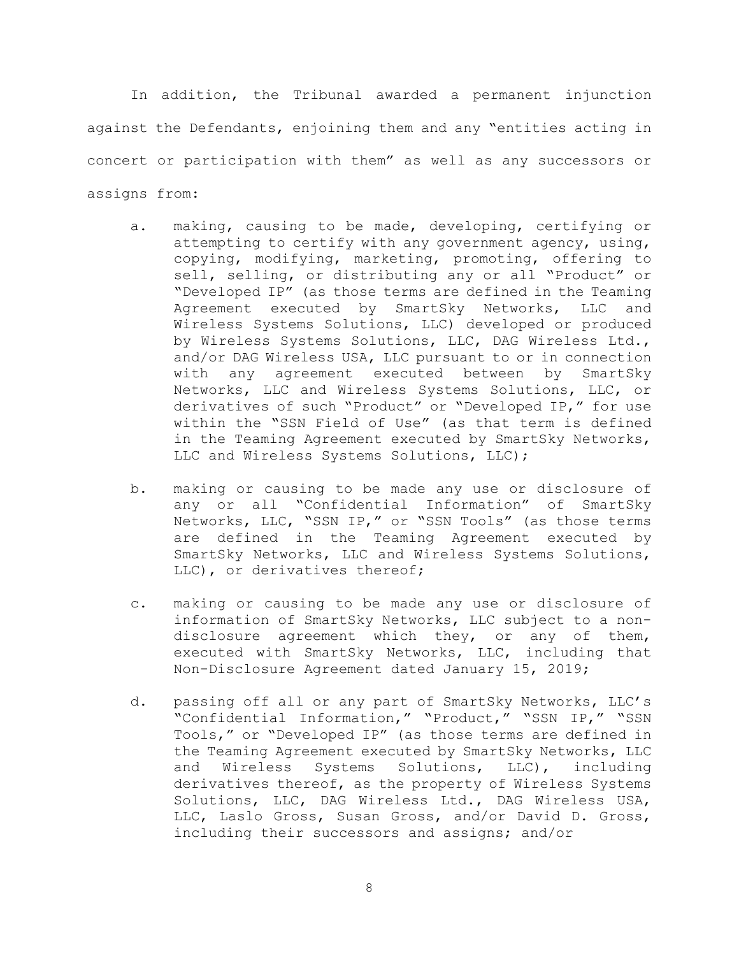In addition, the Tribunal awarded a permanent injunction against the Defendants, enjoining them and any "entities acting in concert or participation with them" as well as any successors or assigns from:

- a. making, causing to be made, developing, certifying or attempting to certify with any government agency, using, copying, modifying, marketing, promoting, offering to sell, selling, or distributing any or all "Product" or "Developed IP" (as those terms are defined in the Teaming Agreement executed by SmartSky Networks, LLC and Wireless Systems Solutions, LLC) developed or produced by Wireless Systems Solutions, LLC, DAG Wireless Ltd., and/or DAG Wireless USA, LLC pursuant to or in connection with any agreement executed between by SmartSky Networks, LLC and Wireless Systems Solutions, LLC, or derivatives of such "Product" or "Developed IP," for use within the "SSN Field of Use" (as that term is defined in the Teaming Agreement executed by SmartSky Networks, LLC and Wireless Systems Solutions, LLC);
- b. making or causing to be made any use or disclosure of any or all "Confidential Information" of SmartSky Networks, LLC, "SSN IP," or "SSN Tools" (as those terms are defined in the Teaming Agreement executed by SmartSky Networks, LLC and Wireless Systems Solutions, LLC), or derivatives thereof;
- c. making or causing to be made any use or disclosure of information of SmartSky Networks, LLC subject to a nondisclosure agreement which they, or any of them, executed with SmartSky Networks, LLC, including that Non-Disclosure Agreement dated January 15, 2019;
- d. passing off all or any part of SmartSky Networks, LLC's "Confidential Information," "Product," "SSN IP," "SSN Tools," or "Developed IP" (as those terms are defined in the Teaming Agreement executed by SmartSky Networks, LLC and Wireless Systems Solutions, LLC), including derivatives thereof, as the property of Wireless Systems Solutions, LLC, DAG Wireless Ltd., DAG Wireless USA, LLC, Laslo Gross, Susan Gross, and/or David D. Gross, including their successors and assigns; and/or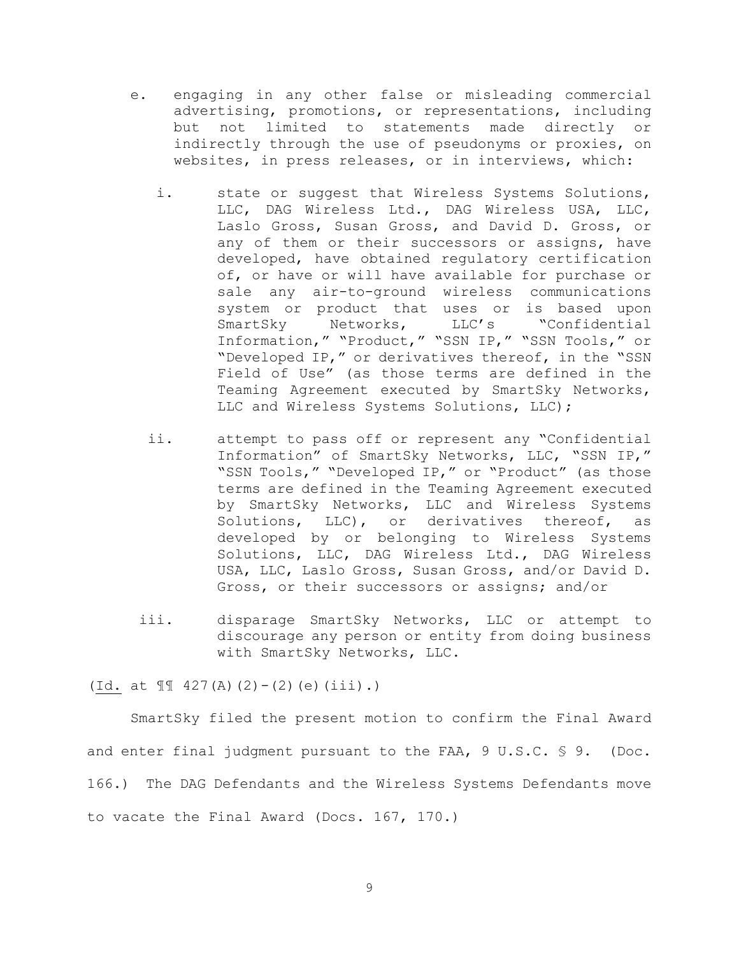- e. engaging in any other false or misleading commercial advertising, promotions, or representations, including but not limited to statements made directly or indirectly through the use of pseudonyms or proxies, on websites, in press releases, or in interviews, which:
	- i. state or suggest that Wireless Systems Solutions, LLC, DAG Wireless Ltd., DAG Wireless USA, LLC, Laslo Gross, Susan Gross, and David D. Gross, or any of them or their successors or assigns, have developed, have obtained regulatory certification of, or have or will have available for purchase or sale any air-to-ground wireless communications system or product that uses or is based upon<br>SmartSky Metworks, LLC's "Confidential SmartSky Networks, LLC's "Confidential Information," "Product," "SSN IP," "SSN Tools," or "Developed IP," or derivatives thereof, in the "SSN Field of Use" (as those terms are defined in the Teaming Agreement executed by SmartSky Networks, LLC and Wireless Systems Solutions, LLC);
	- ii. attempt to pass off or represent any "Confidential Information" of SmartSky Networks, LLC, "SSN IP," "SSN Tools," "Developed IP," or "Product" (as those terms are defined in the Teaming Agreement executed by SmartSky Networks, LLC and Wireless Systems Solutions, LLC), or derivatives thereof, as developed by or belonging to Wireless Systems Solutions, LLC, DAG Wireless Ltd., DAG Wireless USA, LLC, Laslo Gross, Susan Gross, and/or David D. Gross, or their successors or assigns; and/or
- iii. disparage SmartSky Networks, LLC or attempt to discourage any person or entity from doing business with SmartSky Networks, LLC.

(Id. at  $\P$  $\P$  427(A)(2)-(2)(e)(iii).)

SmartSky filed the present motion to confirm the Final Award and enter final judgment pursuant to the FAA, 9 U.S.C. § 9. (Doc. 166.) The DAG Defendants and the Wireless Systems Defendants move to vacate the Final Award (Docs. 167, 170.)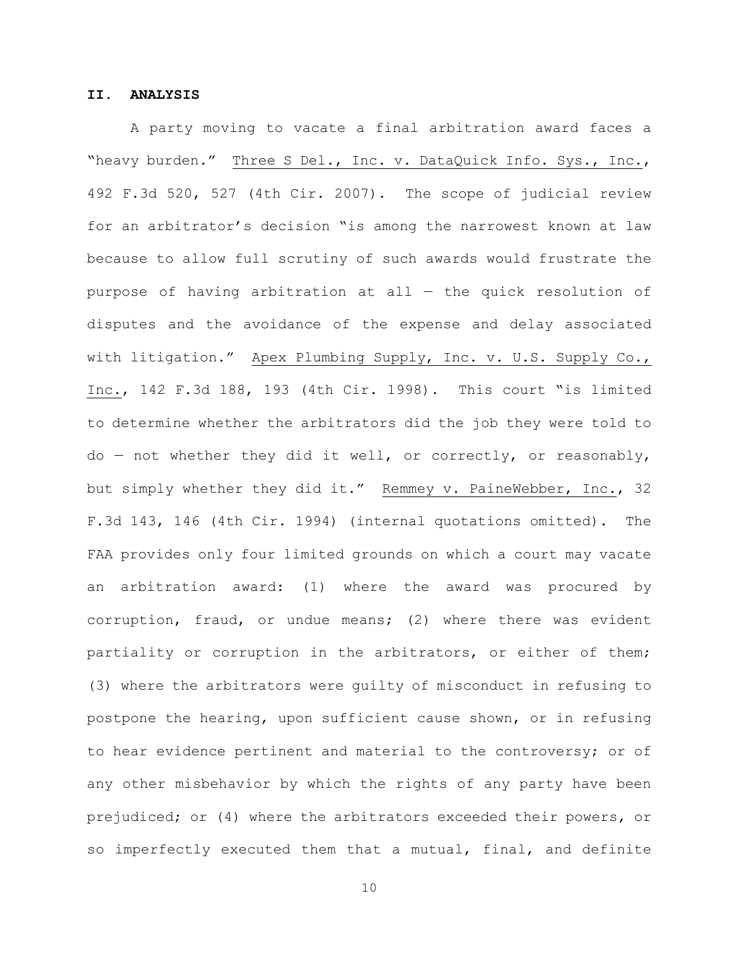#### **II. ANALYSIS**

A party moving to vacate a final arbitration award faces a "heavy burden." Three S Del., Inc. v. DataQuick Info. Sys., Inc., 492 F.3d 520, 527 (4th Cir. 2007). The scope of judicial review for an arbitrator's decision "is among the narrowest known at law because to allow full scrutiny of such awards would frustrate the purpose of having arbitration at all — the quick resolution of disputes and the avoidance of the expense and delay associated with litigation." Apex Plumbing Supply, Inc. v. U.S. Supply Co., Inc., 142 F.3d 188, 193 (4th Cir. 1998). This court "is limited to determine whether the arbitrators did the job they were told to do — not whether they did it well, or correctly, or reasonably, but simply whether they did it." Remmey v. PaineWebber, Inc., 32 F.3d 143, 146 (4th Cir. 1994) (internal quotations omitted). The FAA provides only four limited grounds on which a court may vacate an arbitration award: (1) where the award was procured by corruption, fraud, or undue means; (2) where there was evident partiality or corruption in the arbitrators, or either of them; (3) where the arbitrators were guilty of misconduct in refusing to postpone the hearing, upon sufficient cause shown, or in refusing to hear evidence pertinent and material to the controversy; or of any other misbehavior by which the rights of any party have been prejudiced; or (4) where the arbitrators exceeded their powers, or so imperfectly executed them that a mutual, final, and definite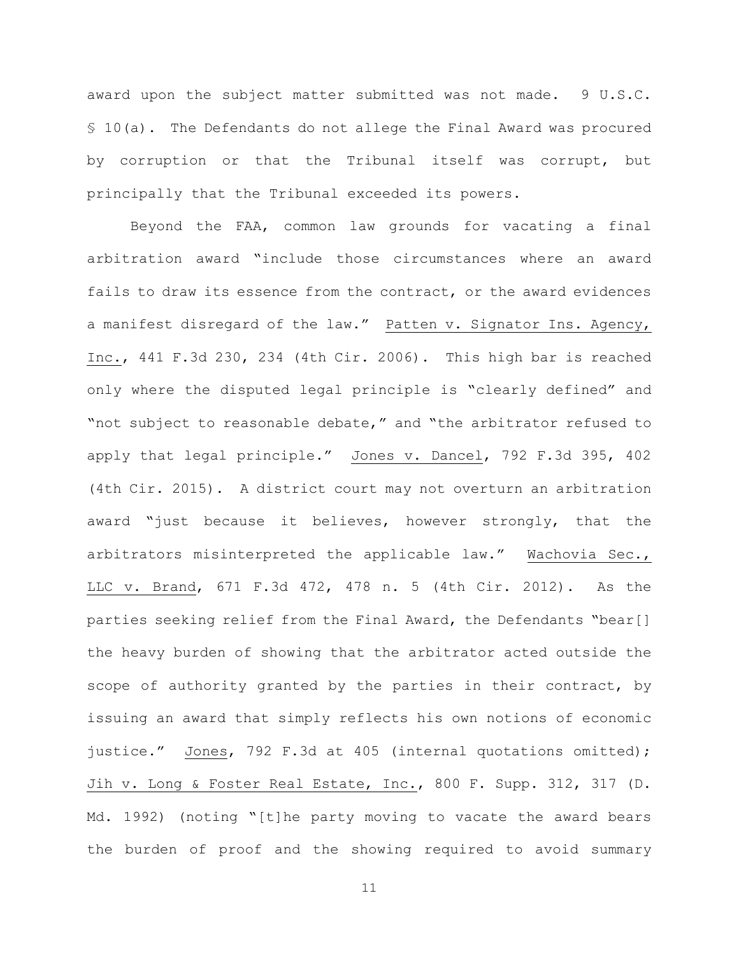award upon the subject matter submitted was not made. 9 U.S.C. § 10(a). The Defendants do not allege the Final Award was procured by corruption or that the Tribunal itself was corrupt, but principally that the Tribunal exceeded its powers.

Beyond the FAA, common law grounds for vacating a final arbitration award "include those circumstances where an award fails to draw its essence from the contract, or the award evidences a manifest disregard of the law." Patten v. Signator Ins. Agency, Inc., 441 F.3d 230, 234 (4th Cir. 2006). This high bar is reached only where the disputed legal principle is "clearly defined" and "not subject to reasonable debate," and "the arbitrator refused to apply that legal principle." Jones v. Dancel, 792 F.3d 395, 402 (4th Cir. 2015). A district court may not overturn an arbitration award "just because it believes, however strongly, that the arbitrators misinterpreted the applicable law." Wachovia Sec., LLC v. Brand, 671 F.3d 472, 478 n. 5 (4th Cir. 2012). As the parties seeking relief from the Final Award, the Defendants "bear[] the heavy burden of showing that the arbitrator acted outside the scope of authority granted by the parties in their contract, by issuing an award that simply reflects his own notions of economic justice." Jones, 792 F.3d at 405 (internal quotations omitted); Jih v. Long & Foster Real Estate, Inc., 800 F. Supp. 312, 317 (D. Md. 1992) (noting "[t]he party moving to vacate the award bears the burden of proof and the showing required to avoid summary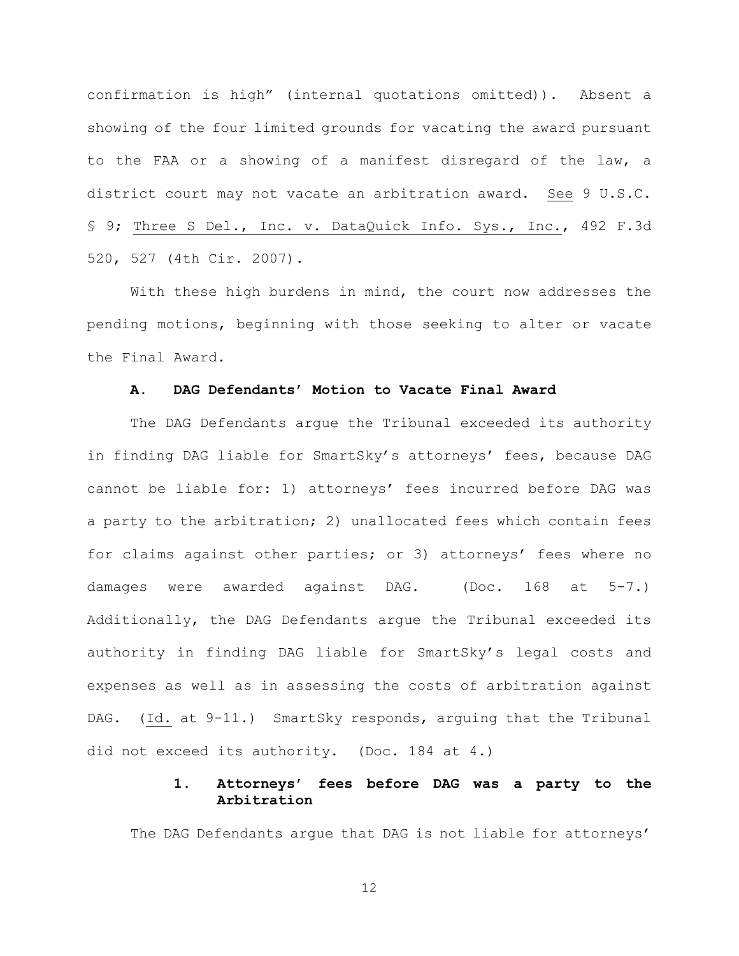confirmation is high" (internal quotations omitted)). Absent a showing of the four limited grounds for vacating the award pursuant to the FAA or a showing of a manifest disregard of the law, a district court may not vacate an arbitration award. See 9 U.S.C. § 9; Three S Del., Inc. v. DataQuick Info. Sys., Inc., 492 F.3d 520, 527 (4th Cir. 2007).

With these high burdens in mind, the court now addresses the pending motions, beginning with those seeking to alter or vacate the Final Award.

## **A. DAG Defendants' Motion to Vacate Final Award**

The DAG Defendants argue the Tribunal exceeded its authority in finding DAG liable for SmartSky's attorneys' fees, because DAG cannot be liable for: 1) attorneys' fees incurred before DAG was a party to the arbitration; 2) unallocated fees which contain fees for claims against other parties; or 3) attorneys' fees where no damages were awarded against DAG. (Doc. 168 at 5-7.) Additionally, the DAG Defendants argue the Tribunal exceeded its authority in finding DAG liable for SmartSky's legal costs and expenses as well as in assessing the costs of arbitration against DAG. (Id. at 9-11.) SmartSky responds, arguing that the Tribunal did not exceed its authority. (Doc. 184 at 4.)

# **1. Attorneys' fees before DAG was a party to the Arbitration**

The DAG Defendants argue that DAG is not liable for attorneys'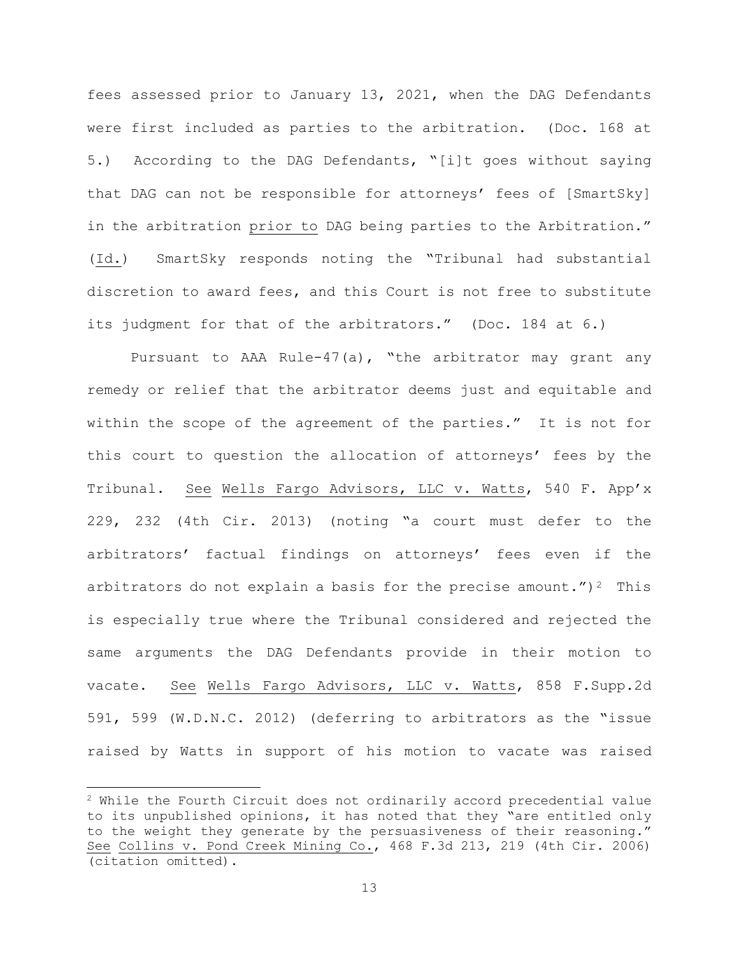fees assessed prior to January 13, 2021, when the DAG Defendants were first included as parties to the arbitration. (Doc. 168 at 5.) According to the DAG Defendants, "[i]t goes without saying that DAG can not be responsible for attorneys' fees of [SmartSky] in the arbitration prior to DAG being parties to the Arbitration." (Id.) SmartSky responds noting the "Tribunal had substantial discretion to award fees, and this Court is not free to substitute its judgment for that of the arbitrators." (Doc. 184 at 6.)

Pursuant to AAA Rule-47(a), "the arbitrator may grant any remedy or relief that the arbitrator deems just and equitable and within the scope of the agreement of the parties." It is not for this court to question the allocation of attorneys' fees by the Tribunal. See Wells Fargo Advisors, LLC v. Watts, 540 F. App'x 229, 232 (4th Cir. 2013) (noting "a court must defer to the arbitrators' factual findings on attorneys' fees even if the arbitrators do not explain a basis for the precise amount.")<sup>2</sup> This is especially true where the Tribunal considered and rejected the same arguments the DAG Defendants provide in their motion to vacate. See Wells Fargo Advisors, LLC v. Watts, 858 F.Supp.2d 591, 599 (W.D.N.C. 2012) (deferring to arbitrators as the "issue raised by Watts in support of his motion to vacate was raised

 $2$  While the Fourth Circuit does not ordinarily accord precedential value to its unpublished opinions, it has noted that they "are entitled only to the weight they generate by the persuasiveness of their reasoning." See Collins v. Pond Creek Mining Co., 468 F.3d 213, 219 (4th Cir. 2006) (citation omitted).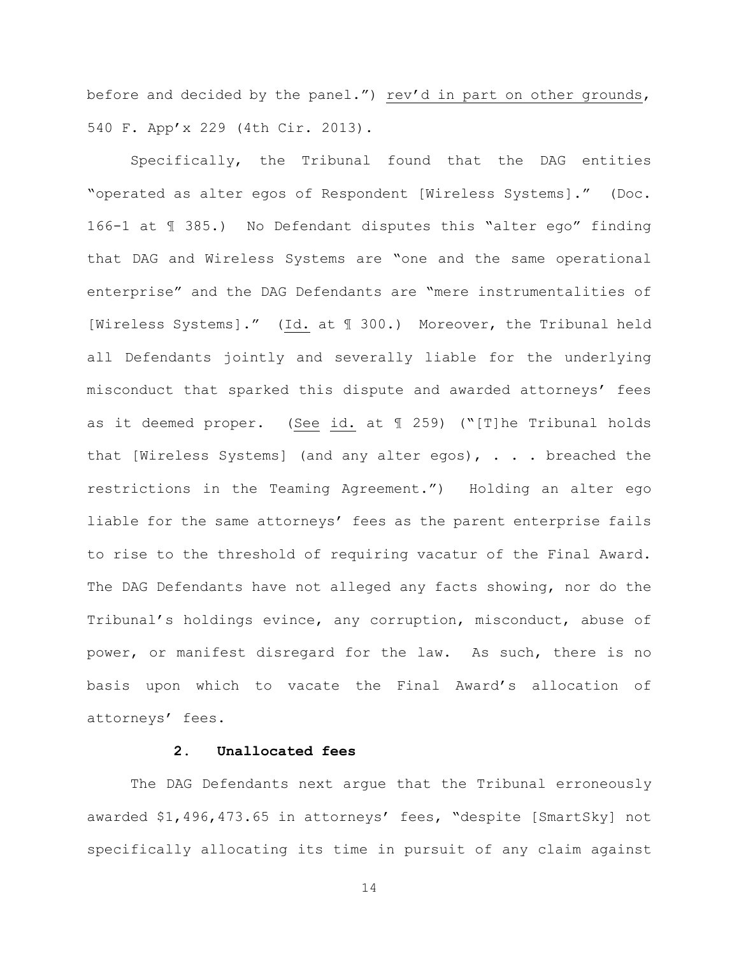before and decided by the panel.") rev'd in part on other grounds, 540 F. App'x 229 (4th Cir. 2013).

Specifically, the Tribunal found that the DAG entities "operated as alter egos of Respondent [Wireless Systems]." (Doc. 166-1 at ¶ 385.) No Defendant disputes this "alter ego" finding that DAG and Wireless Systems are "one and the same operational enterprise" and the DAG Defendants are "mere instrumentalities of [Wireless Systems]." (Id. at ¶ 300.) Moreover, the Tribunal held all Defendants jointly and severally liable for the underlying misconduct that sparked this dispute and awarded attorneys' fees as it deemed proper. (See id. at ¶ 259) ("[T]he Tribunal holds that [Wireless Systems] (and any alter egos), . . . breached the restrictions in the Teaming Agreement.") Holding an alter ego liable for the same attorneys' fees as the parent enterprise fails to rise to the threshold of requiring vacatur of the Final Award. The DAG Defendants have not alleged any facts showing, nor do the Tribunal's holdings evince, any corruption, misconduct, abuse of power, or manifest disregard for the law. As such, there is no basis upon which to vacate the Final Award's allocation of attorneys' fees.

# **2. Unallocated fees**

The DAG Defendants next argue that the Tribunal erroneously awarded \$1,496,473.65 in attorneys' fees, "despite [SmartSky] not specifically allocating its time in pursuit of any claim against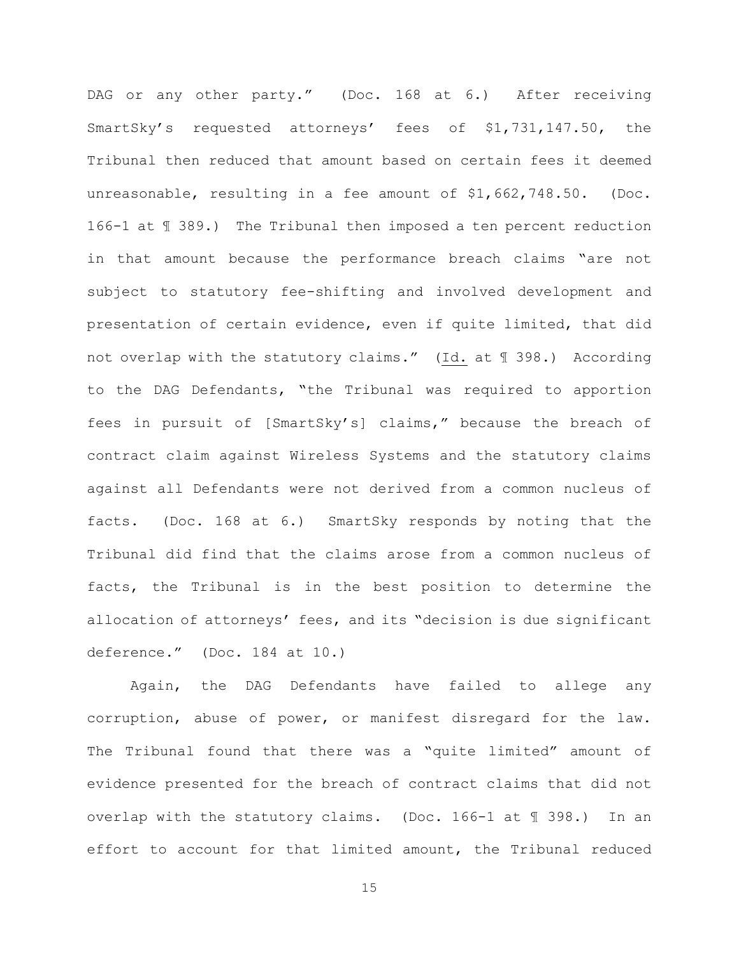DAG or any other party." (Doc. 168 at 6.) After receiving SmartSky's requested attorneys' fees of \$1,731,147.50, the Tribunal then reduced that amount based on certain fees it deemed unreasonable, resulting in a fee amount of \$1,662,748.50. (Doc. 166-1 at ¶ 389.) The Tribunal then imposed a ten percent reduction in that amount because the performance breach claims "are not subject to statutory fee-shifting and involved development and presentation of certain evidence, even if quite limited, that did not overlap with the statutory claims." (Id. at ¶ 398.) According to the DAG Defendants, "the Tribunal was required to apportion fees in pursuit of [SmartSky's] claims," because the breach of contract claim against Wireless Systems and the statutory claims against all Defendants were not derived from a common nucleus of facts. (Doc. 168 at 6.) SmartSky responds by noting that the Tribunal did find that the claims arose from a common nucleus of facts, the Tribunal is in the best position to determine the allocation of attorneys' fees, and its "decision is due significant deference." (Doc. 184 at 10.)

Again, the DAG Defendants have failed to allege any corruption, abuse of power, or manifest disregard for the law. The Tribunal found that there was a "quite limited" amount of evidence presented for the breach of contract claims that did not overlap with the statutory claims. (Doc. 166-1 at ¶ 398.) In an effort to account for that limited amount, the Tribunal reduced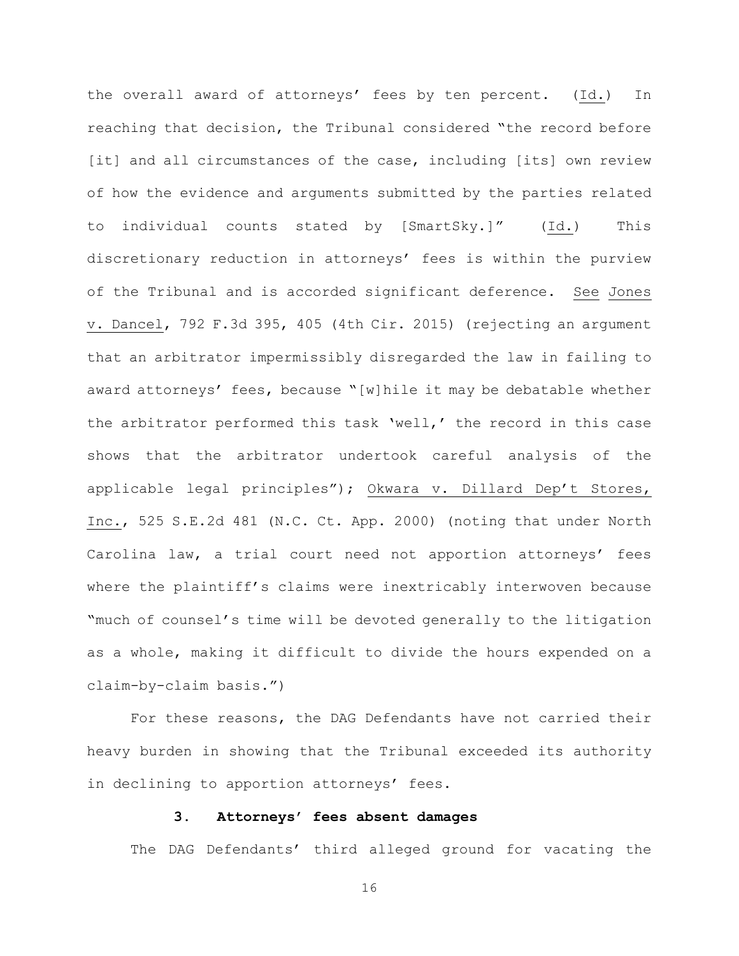the overall award of attorneys' fees by ten percent. (Id.) In reaching that decision, the Tribunal considered "the record before [it] and all circumstances of the case, including [its] own review of how the evidence and arguments submitted by the parties related to individual counts stated by [SmartSky.]" (Id.) This discretionary reduction in attorneys' fees is within the purview of the Tribunal and is accorded significant deference. See Jones v. Dancel, 792 F.3d 395, 405 (4th Cir. 2015) (rejecting an argument that an arbitrator impermissibly disregarded the law in failing to award attorneys' fees, because "[w]hile it may be debatable whether the arbitrator performed this task 'well,' the record in this case shows that the arbitrator undertook careful analysis of the applicable legal principles"); Okwara v. Dillard Dep't Stores, Inc., 525 S.E.2d 481 (N.C. Ct. App. 2000) (noting that under North Carolina law, a trial court need not apportion attorneys' fees where the plaintiff's claims were inextricably interwoven because "much of counsel's time will be devoted generally to the litigation as a whole, making it difficult to divide the hours expended on a claim-by-claim basis.")

For these reasons, the DAG Defendants have not carried their heavy burden in showing that the Tribunal exceeded its authority in declining to apportion attorneys' fees.

# **3. Attorneys' fees absent damages**

The DAG Defendants' third alleged ground for vacating the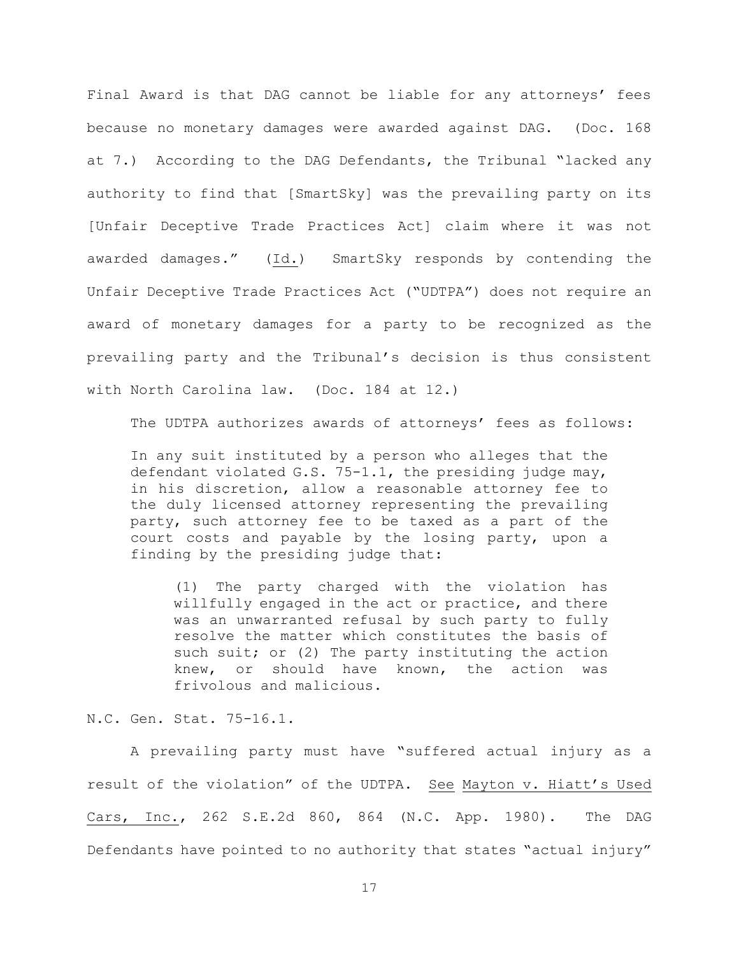Final Award is that DAG cannot be liable for any attorneys' fees because no monetary damages were awarded against DAG. (Doc. 168 at 7.) According to the DAG Defendants, the Tribunal "lacked any authority to find that [SmartSky] was the prevailing party on its [Unfair Deceptive Trade Practices Act] claim where it was not awarded damages." (Id.) SmartSky responds by contending the Unfair Deceptive Trade Practices Act ("UDTPA") does not require an award of monetary damages for a party to be recognized as the prevailing party and the Tribunal's decision is thus consistent with North Carolina law. (Doc. 184 at 12.)

The UDTPA authorizes awards of attorneys' fees as follows:

In any suit instituted by a person who alleges that the defendant violated G.S. 75-1.1, the presiding judge may, in his discretion, allow a reasonable attorney fee to the duly licensed attorney representing the prevailing party, such attorney fee to be taxed as a part of the court costs and payable by the losing party, upon a finding by the presiding judge that:

(1) The party charged with the violation has willfully engaged in the act or practice, and there was an unwarranted refusal by such party to fully resolve the matter which constitutes the basis of such suit; or (2) The party instituting the action knew, or should have known, the action was frivolous and malicious.

N.C. Gen. Stat. 75-16.1.

A prevailing party must have "suffered actual injury as a result of the violation" of the UDTPA. See Mayton v. Hiatt's Used Cars, Inc., 262 S.E.2d 860, 864 (N.C. App. 1980). The DAG Defendants have pointed to no authority that states "actual injury"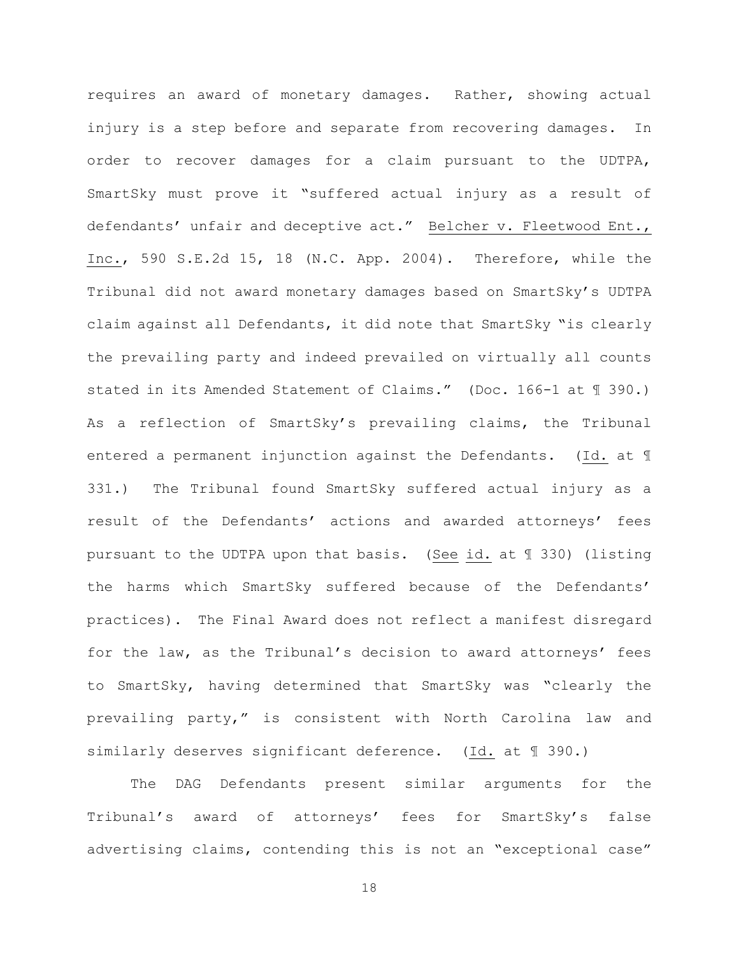requires an award of monetary damages. Rather, showing actual injury is a step before and separate from recovering damages. In order to recover damages for a claim pursuant to the UDTPA, SmartSky must prove it "suffered actual injury as a result of defendants' unfair and deceptive act." Belcher v. Fleetwood Ent., Inc., 590 S.E.2d 15, 18 (N.C. App. 2004). Therefore, while the Tribunal did not award monetary damages based on SmartSky's UDTPA claim against all Defendants, it did note that SmartSky "is clearly the prevailing party and indeed prevailed on virtually all counts stated in its Amended Statement of Claims." (Doc. 166-1 at ¶ 390.) As a reflection of SmartSky's prevailing claims, the Tribunal entered a permanent injunction against the Defendants. (Id. at ¶ 331.) The Tribunal found SmartSky suffered actual injury as a result of the Defendants' actions and awarded attorneys' fees pursuant to the UDTPA upon that basis. (See id. at ¶ 330) (listing the harms which SmartSky suffered because of the Defendants' practices). The Final Award does not reflect a manifest disregard for the law, as the Tribunal's decision to award attorneys' fees to SmartSky, having determined that SmartSky was "clearly the prevailing party," is consistent with North Carolina law and similarly deserves significant deference. (Id. at ¶ 390.)

The DAG Defendants present similar arguments for the Tribunal's award of attorneys' fees for SmartSky's false advertising claims, contending this is not an "exceptional case"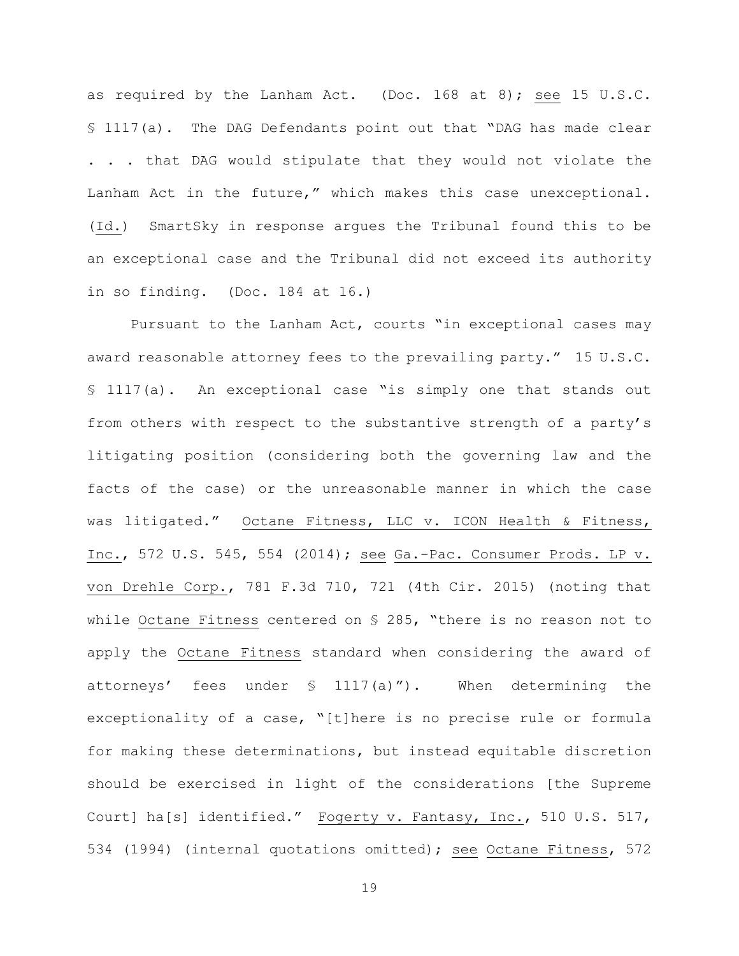as required by the Lanham Act. (Doc. 168 at 8); see 15 U.S.C. § 1117(a). The DAG Defendants point out that "DAG has made clear . . . that DAG would stipulate that they would not violate the Lanham Act in the future," which makes this case unexceptional. (Id.) SmartSky in response argues the Tribunal found this to be an exceptional case and the Tribunal did not exceed its authority in so finding. (Doc. 184 at 16.)

Pursuant to the Lanham Act, courts "in exceptional cases may award reasonable attorney fees to the prevailing party." 15 U.S.C. § 1117(a). An exceptional case "is simply one that stands out from others with respect to the substantive strength of a party's litigating position (considering both the governing law and the facts of the case) or the unreasonable manner in which the case was litigated." Octane Fitness, LLC v. ICON Health & Fitness, Inc., 572 U.S. 545, 554 (2014); see Ga.-Pac. Consumer Prods. LP v. von Drehle Corp., 781 F.3d 710, 721 (4th Cir. 2015) (noting that while Octane Fitness centered on § 285, "there is no reason not to apply the Octane Fitness standard when considering the award of attorneys' fees under § 1117(a)"). When determining the exceptionality of a case, "[t]here is no precise rule or formula for making these determinations, but instead equitable discretion should be exercised in light of the considerations [the Supreme Court] ha[s] identified." Fogerty v. Fantasy, Inc., 510 U.S. 517, 534 (1994) (internal quotations omitted); see Octane Fitness, 572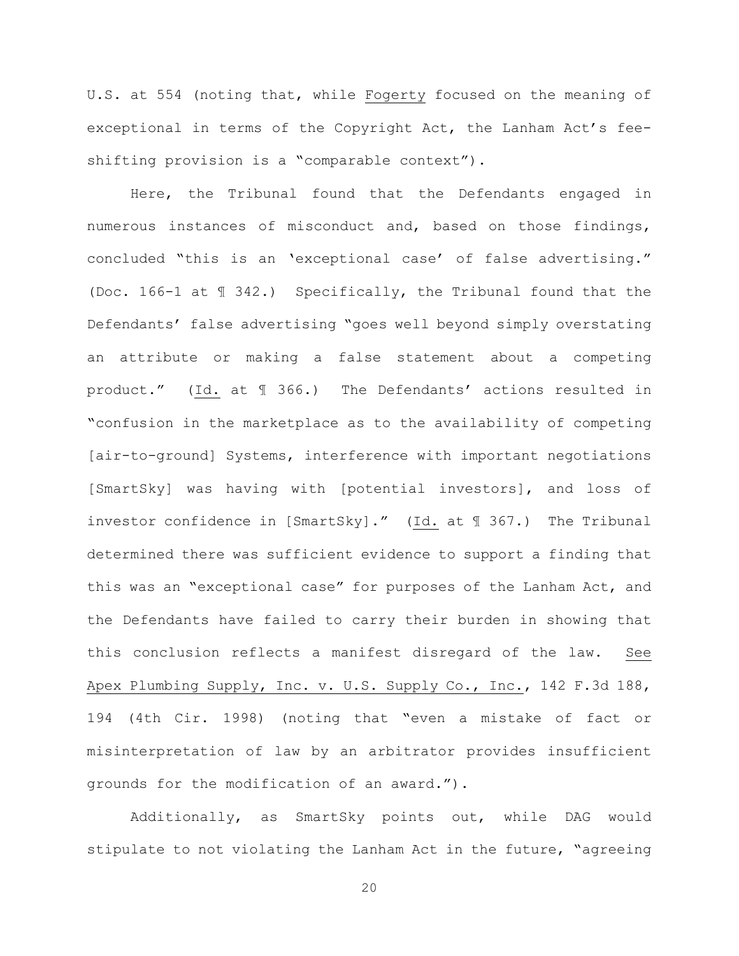U.S. at 554 (noting that, while Fogerty focused on the meaning of exceptional in terms of the Copyright Act, the Lanham Act's feeshifting provision is a "comparable context").

Here, the Tribunal found that the Defendants engaged in numerous instances of misconduct and, based on those findings, concluded "this is an 'exceptional case' of false advertising." (Doc. 166-1 at ¶ 342.) Specifically, the Tribunal found that the Defendants' false advertising "goes well beyond simply overstating an attribute or making a false statement about a competing product." (Id. at ¶ 366.) The Defendants' actions resulted in "confusion in the marketplace as to the availability of competing [air-to-ground] Systems, interference with important negotiations [SmartSky] was having with [potential investors], and loss of investor confidence in [SmartSky]." (Id. at ¶ 367.) The Tribunal determined there was sufficient evidence to support a finding that this was an "exceptional case" for purposes of the Lanham Act, and the Defendants have failed to carry their burden in showing that this conclusion reflects a manifest disregard of the law. See Apex Plumbing Supply, Inc. v. U.S. Supply Co., Inc., 142 F.3d 188, 194 (4th Cir. 1998) (noting that "even a mistake of fact or misinterpretation of law by an arbitrator provides insufficient grounds for the modification of an award.").

Additionally, as SmartSky points out, while DAG would stipulate to not violating the Lanham Act in the future, "agreeing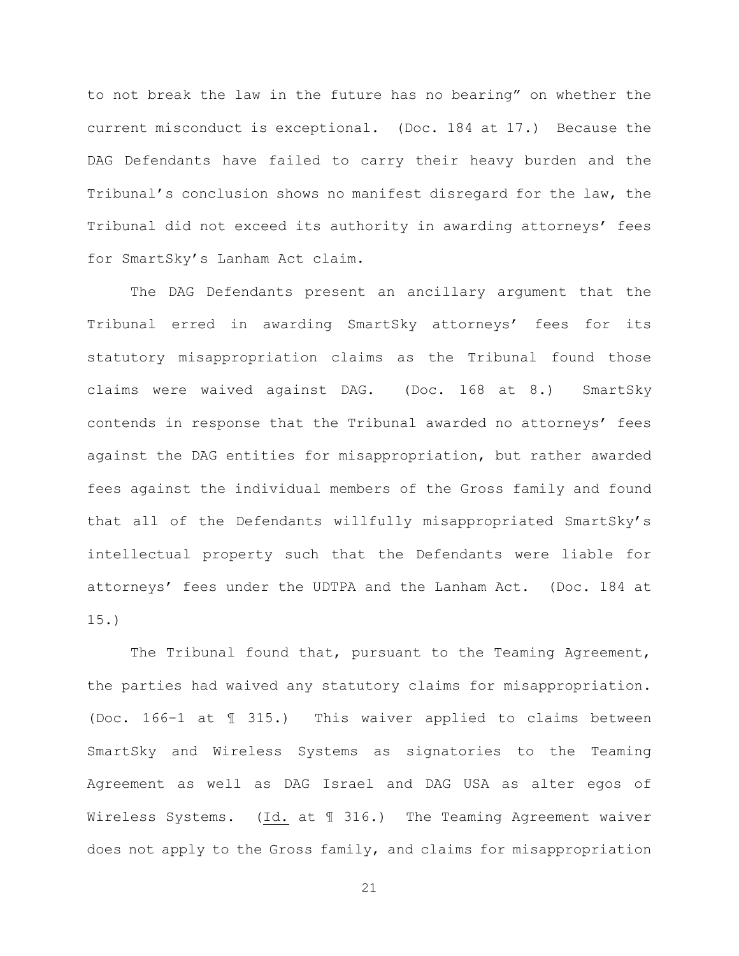to not break the law in the future has no bearing" on whether the current misconduct is exceptional. (Doc. 184 at 17.) Because the DAG Defendants have failed to carry their heavy burden and the Tribunal's conclusion shows no manifest disregard for the law, the Tribunal did not exceed its authority in awarding attorneys' fees for SmartSky's Lanham Act claim.

The DAG Defendants present an ancillary argument that the Tribunal erred in awarding SmartSky attorneys' fees for its statutory misappropriation claims as the Tribunal found those claims were waived against DAG. (Doc. 168 at 8.) SmartSky contends in response that the Tribunal awarded no attorneys' fees against the DAG entities for misappropriation, but rather awarded fees against the individual members of the Gross family and found that all of the Defendants willfully misappropriated SmartSky's intellectual property such that the Defendants were liable for attorneys' fees under the UDTPA and the Lanham Act. (Doc. 184 at 15.)

The Tribunal found that, pursuant to the Teaming Agreement, the parties had waived any statutory claims for misappropriation. (Doc. 166-1 at ¶ 315.) This waiver applied to claims between SmartSky and Wireless Systems as signatories to the Teaming Agreement as well as DAG Israel and DAG USA as alter egos of Wireless Systems. (Id. at ¶ 316.) The Teaming Agreement waiver does not apply to the Gross family, and claims for misappropriation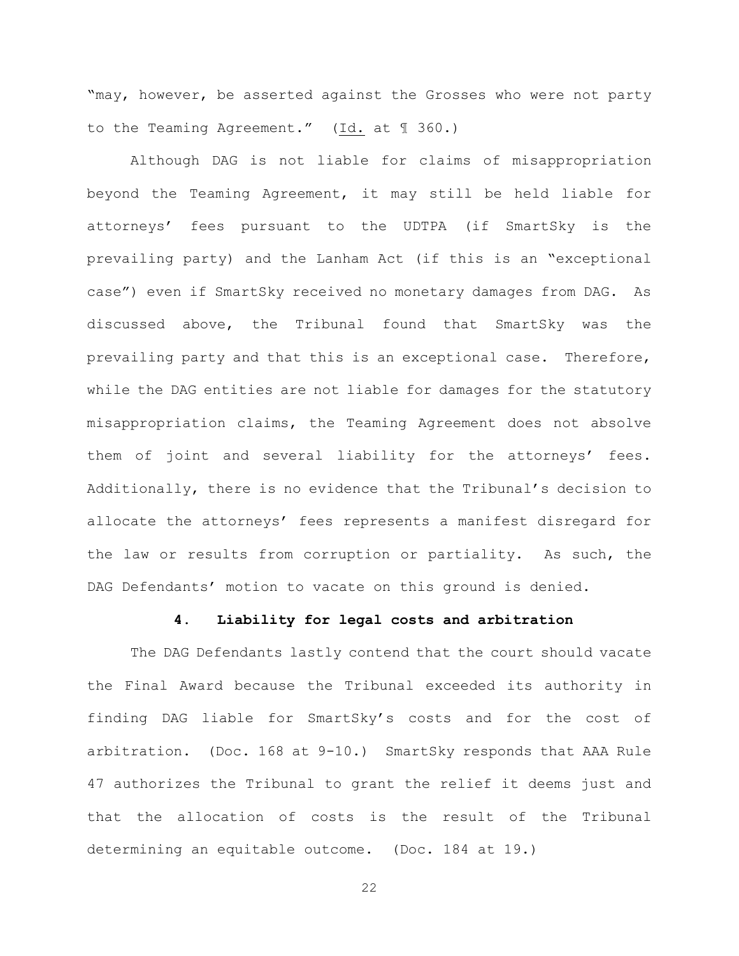"may, however, be asserted against the Grosses who were not party to the Teaming Agreement." (Id. at ¶ 360.)

Although DAG is not liable for claims of misappropriation beyond the Teaming Agreement, it may still be held liable for attorneys' fees pursuant to the UDTPA (if SmartSky is the prevailing party) and the Lanham Act (if this is an "exceptional case") even if SmartSky received no monetary damages from DAG. As discussed above, the Tribunal found that SmartSky was the prevailing party and that this is an exceptional case. Therefore, while the DAG entities are not liable for damages for the statutory misappropriation claims, the Teaming Agreement does not absolve them of joint and several liability for the attorneys' fees. Additionally, there is no evidence that the Tribunal's decision to allocate the attorneys' fees represents a manifest disregard for the law or results from corruption or partiality. As such, the DAG Defendants' motion to vacate on this ground is denied.

## **4. Liability for legal costs and arbitration**

The DAG Defendants lastly contend that the court should vacate the Final Award because the Tribunal exceeded its authority in finding DAG liable for SmartSky's costs and for the cost of arbitration. (Doc. 168 at 9-10.) SmartSky responds that AAA Rule 47 authorizes the Tribunal to grant the relief it deems just and that the allocation of costs is the result of the Tribunal determining an equitable outcome. (Doc. 184 at 19.)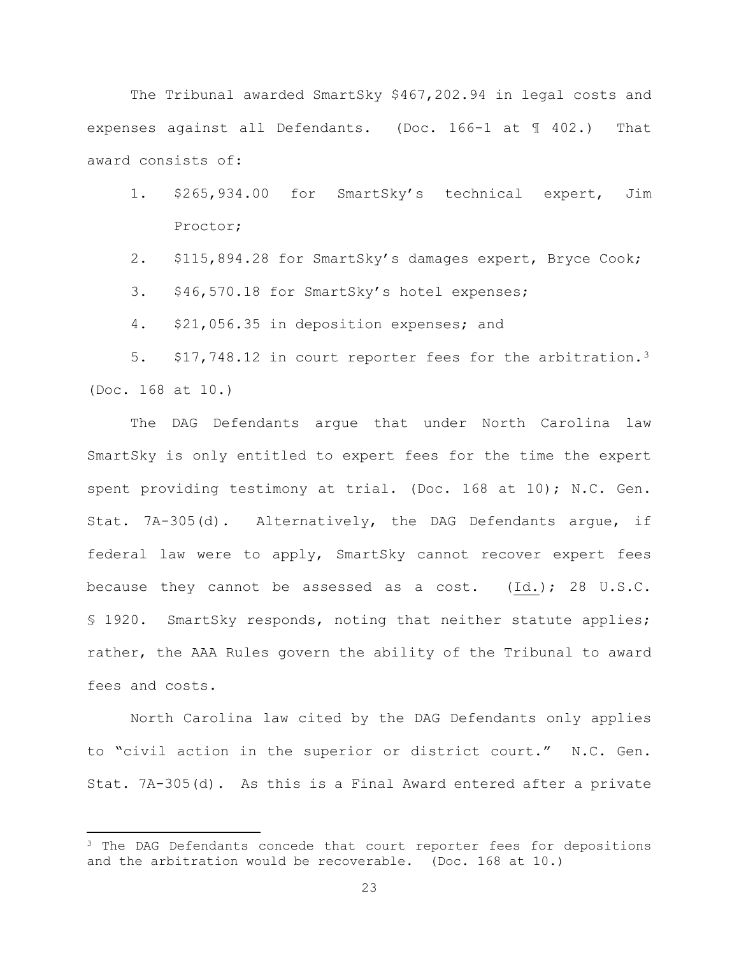The Tribunal awarded SmartSky \$467,202.94 in legal costs and expenses against all Defendants. (Doc. 166-1 at ¶ 402.) That award consists of:

- 1. \$265,934.00 for SmartSky's technical expert, Jim Proctor;
- 2. \$115,894.28 for SmartSky's damages expert, Bryce Cook;
- 3. \$46,570.18 for SmartSky's hotel expenses;
- 4. \$21,056.35 in deposition expenses; and

5. \$17,748.12 in court reporter fees for the arbitration.3 (Doc. 168 at 10.)

The DAG Defendants argue that under North Carolina law SmartSky is only entitled to expert fees for the time the expert spent providing testimony at trial. (Doc. 168 at 10); N.C. Gen. Stat. 7A-305(d). Alternatively, the DAG Defendants argue, if federal law were to apply, SmartSky cannot recover expert fees because they cannot be assessed as a cost.  $(Id.)$ ; 28 U.S.C. § 1920. SmartSky responds, noting that neither statute applies; rather, the AAA Rules govern the ability of the Tribunal to award fees and costs.

North Carolina law cited by the DAG Defendants only applies to "civil action in the superior or district court." N.C. Gen. Stat. 7A-305(d). As this is a Final Award entered after a private

 $3$  The DAG Defendants concede that court reporter fees for depositions and the arbitration would be recoverable. (Doc. 168 at 10.)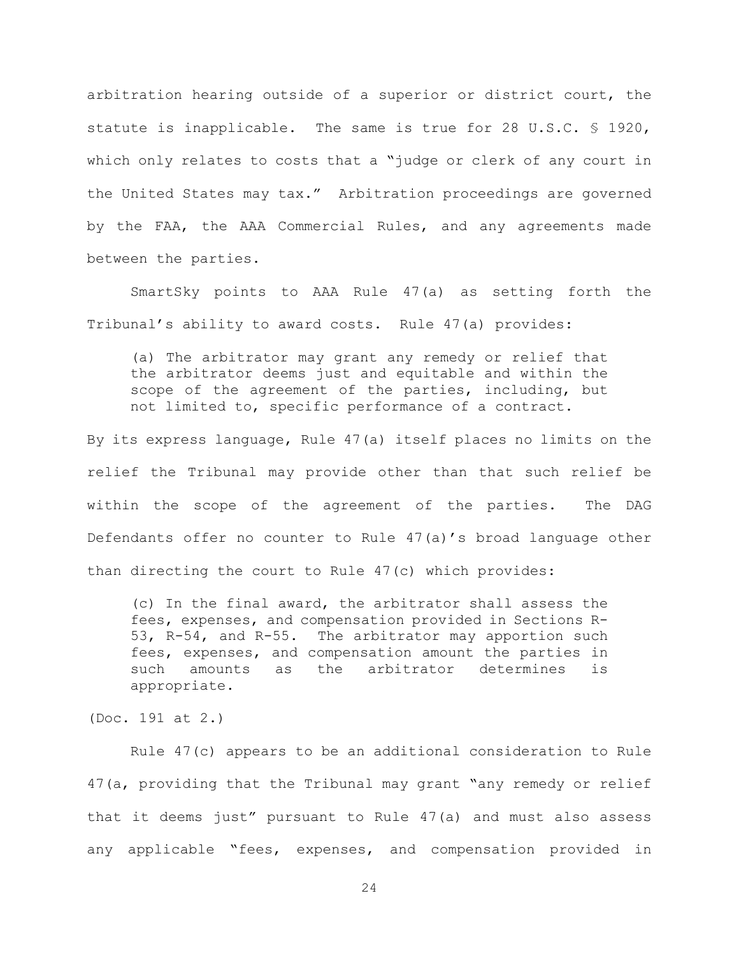arbitration hearing outside of a superior or district court, the statute is inapplicable. The same is true for 28 U.S.C. § 1920, which only relates to costs that a "judge or clerk of any court in the United States may tax." Arbitration proceedings are governed by the FAA, the AAA Commercial Rules, and any agreements made between the parties.

SmartSky points to AAA Rule 47(a) as setting forth the Tribunal's ability to award costs. Rule 47(a) provides:

(a) The arbitrator may grant any remedy or relief that the arbitrator deems just and equitable and within the scope of the agreement of the parties, including, but not limited to, specific performance of a contract.

By its express language, Rule 47(a) itself places no limits on the relief the Tribunal may provide other than that such relief be within the scope of the agreement of the parties. The DAG Defendants offer no counter to Rule 47(a)'s broad language other than directing the court to Rule 47(c) which provides:

(c) In the final award, the arbitrator shall assess the fees, expenses, and compensation provided in Sections R-53, R-54, and R-55. The arbitrator may apportion such fees, expenses, and compensation amount the parties in such amounts as the arbitrator determines is appropriate.

(Doc. 191 at 2.)

Rule 47(c) appears to be an additional consideration to Rule 47(a, providing that the Tribunal may grant "any remedy or relief that it deems just" pursuant to Rule 47(a) and must also assess any applicable "fees, expenses, and compensation provided in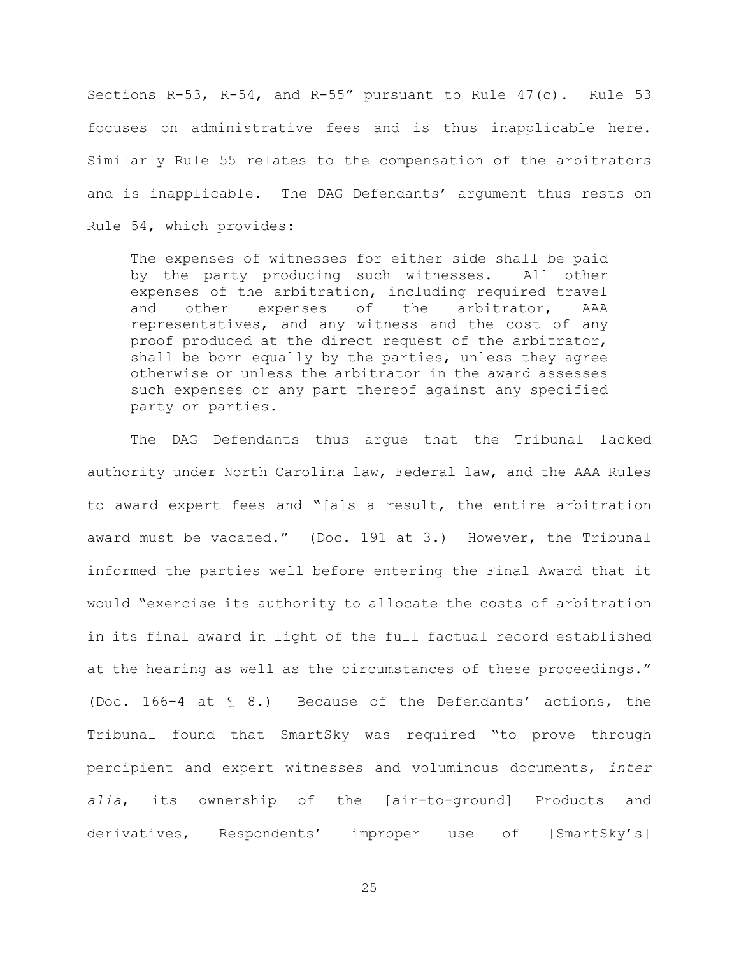Sections R-53, R-54, and R-55" pursuant to Rule 47(c). Rule 53 focuses on administrative fees and is thus inapplicable here. Similarly Rule 55 relates to the compensation of the arbitrators and is inapplicable. The DAG Defendants' argument thus rests on Rule 54, which provides:

The expenses of witnesses for either side shall be paid by the party producing such witnesses. All other expenses of the arbitration, including required travel and other expenses of the arbitrator, AAA representatives, and any witness and the cost of any proof produced at the direct request of the arbitrator, shall be born equally by the parties, unless they agree otherwise or unless the arbitrator in the award assesses such expenses or any part thereof against any specified party or parties.

The DAG Defendants thus argue that the Tribunal lacked authority under North Carolina law, Federal law, and the AAA Rules to award expert fees and "[a]s a result, the entire arbitration award must be vacated." (Doc. 191 at 3.) However, the Tribunal informed the parties well before entering the Final Award that it would "exercise its authority to allocate the costs of arbitration in its final award in light of the full factual record established at the hearing as well as the circumstances of these proceedings." (Doc. 166-4 at ¶ 8.) Because of the Defendants' actions, the Tribunal found that SmartSky was required "to prove through percipient and expert witnesses and voluminous documents, *inter alia*, its ownership of the [air-to-ground] Products and derivatives, Respondents' improper use of [SmartSky's]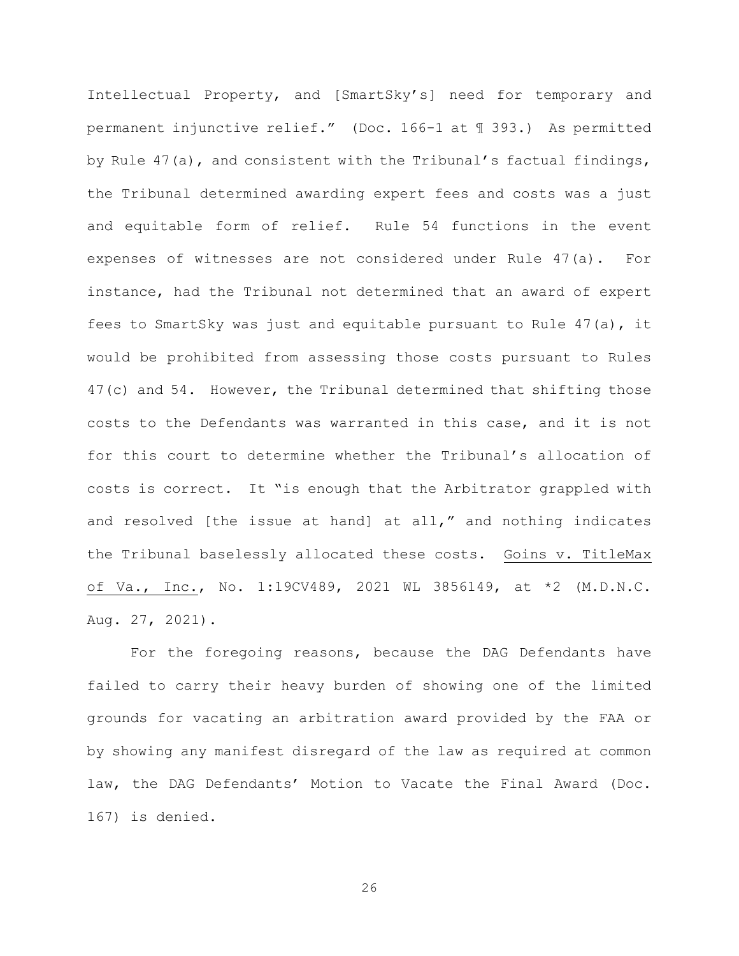Intellectual Property, and [SmartSky's] need for temporary and permanent injunctive relief." (Doc. 166-1 at ¶ 393.) As permitted by Rule 47(a), and consistent with the Tribunal's factual findings, the Tribunal determined awarding expert fees and costs was a just and equitable form of relief. Rule 54 functions in the event expenses of witnesses are not considered under Rule 47(a). For instance, had the Tribunal not determined that an award of expert fees to SmartSky was just and equitable pursuant to Rule 47(a), it would be prohibited from assessing those costs pursuant to Rules 47(c) and 54. However, the Tribunal determined that shifting those costs to the Defendants was warranted in this case, and it is not for this court to determine whether the Tribunal's allocation of costs is correct. It "is enough that the Arbitrator grappled with and resolved [the issue at hand] at all," and nothing indicates the Tribunal baselessly allocated these costs. Goins v. TitleMax of Va., Inc., No. 1:19CV489, 2021 WL 3856149, at \*2 (M.D.N.C. Aug. 27, 2021).

For the foregoing reasons, because the DAG Defendants have failed to carry their heavy burden of showing one of the limited grounds for vacating an arbitration award provided by the FAA or by showing any manifest disregard of the law as required at common law, the DAG Defendants' Motion to Vacate the Final Award (Doc. 167) is denied.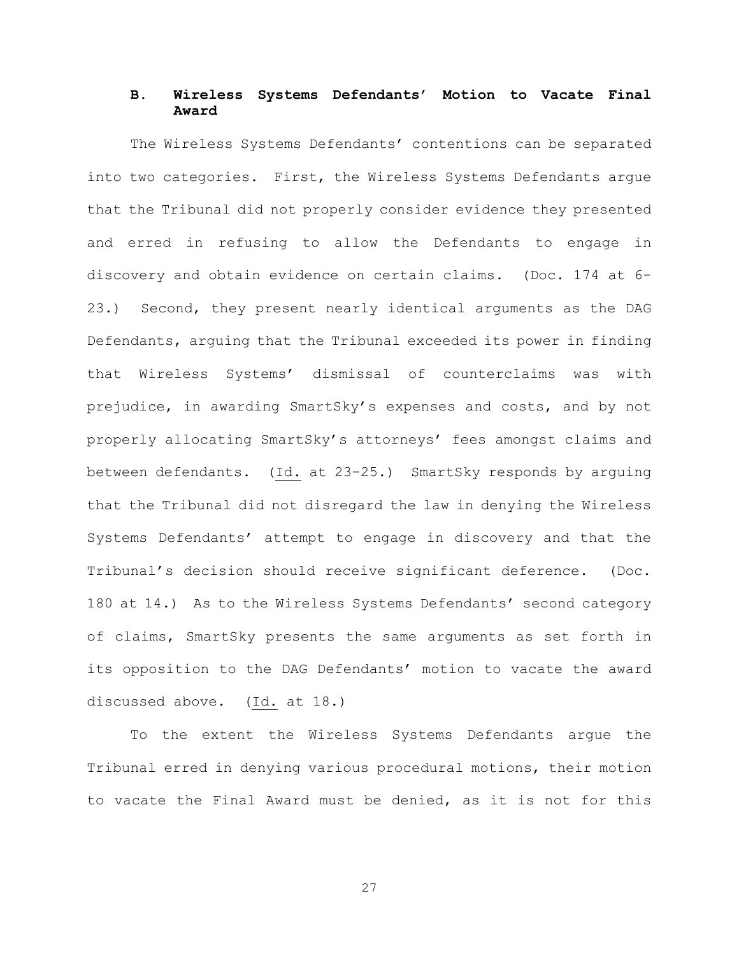# **B. Wireless Systems Defendants' Motion to Vacate Final Award**

The Wireless Systems Defendants' contentions can be separated into two categories. First, the Wireless Systems Defendants argue that the Tribunal did not properly consider evidence they presented and erred in refusing to allow the Defendants to engage in discovery and obtain evidence on certain claims. (Doc. 174 at 6- 23.) Second, they present nearly identical arguments as the DAG Defendants, arguing that the Tribunal exceeded its power in finding that Wireless Systems' dismissal of counterclaims was with prejudice, in awarding SmartSky's expenses and costs, and by not properly allocating SmartSky's attorneys' fees amongst claims and between defendants. (Id. at 23-25.) SmartSky responds by arguing that the Tribunal did not disregard the law in denying the Wireless Systems Defendants' attempt to engage in discovery and that the Tribunal's decision should receive significant deference. (Doc. 180 at 14.) As to the Wireless Systems Defendants' second category of claims, SmartSky presents the same arguments as set forth in its opposition to the DAG Defendants' motion to vacate the award discussed above. (Id. at 18.)

To the extent the Wireless Systems Defendants argue the Tribunal erred in denying various procedural motions, their motion to vacate the Final Award must be denied, as it is not for this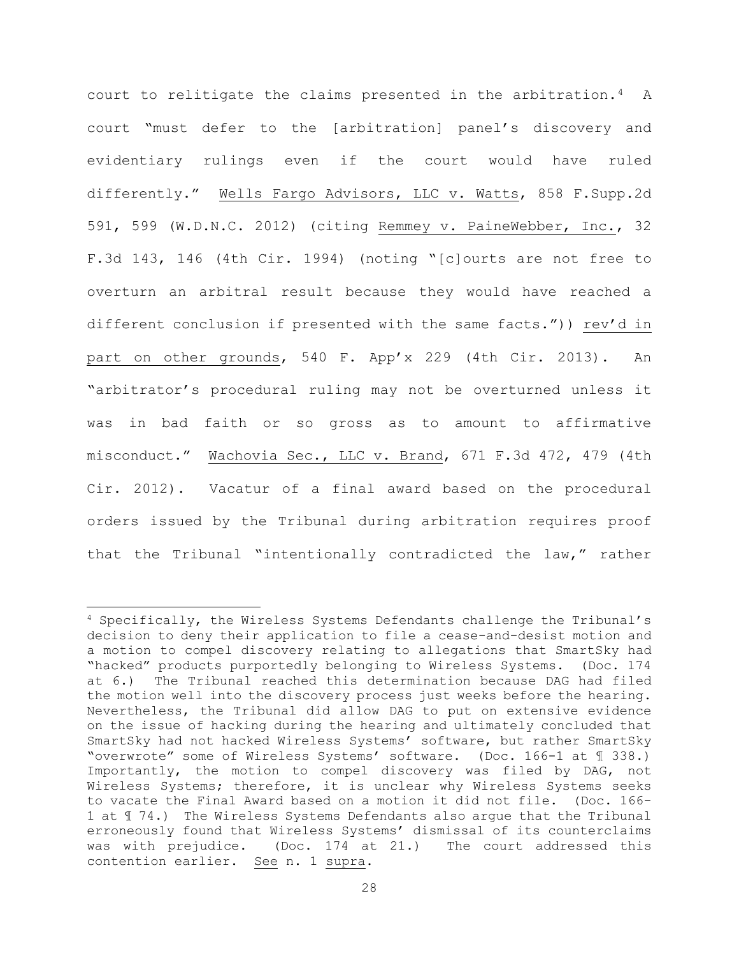court to relitigate the claims presented in the arbitration.4 A court "must defer to the [arbitration] panel's discovery and evidentiary rulings even if the court would have ruled differently." Wells Fargo Advisors, LLC v. Watts, 858 F.Supp.2d 591, 599 (W.D.N.C. 2012) (citing Remmey v. PaineWebber, Inc., 32 F.3d 143, 146 (4th Cir. 1994) (noting "[c]ourts are not free to overturn an arbitral result because they would have reached a different conclusion if presented with the same facts.")) rev'd in part on other grounds, 540 F. App'x 229 (4th Cir. 2013). An "arbitrator's procedural ruling may not be overturned unless it was in bad faith or so gross as to amount to affirmative misconduct." Wachovia Sec., LLC v. Brand, 671 F.3d 472, 479 (4th Cir. 2012). Vacatur of a final award based on the procedural orders issued by the Tribunal during arbitration requires proof that the Tribunal "intentionally contradicted the law," rather

 $4$  Specifically, the Wireless Systems Defendants challenge the Tribunal's decision to deny their application to file a cease-and-desist motion and a motion to compel discovery relating to allegations that SmartSky had "hacked" products purportedly belonging to Wireless Systems. (Doc. 174 at 6.) The Tribunal reached this determination because DAG had filed the motion well into the discovery process just weeks before the hearing. Nevertheless, the Tribunal did allow DAG to put on extensive evidence on the issue of hacking during the hearing and ultimately concluded that SmartSky had not hacked Wireless Systems' software, but rather SmartSky "overwrote" some of Wireless Systems' software. (Doc. 166-1 at ¶ 338.) Importantly, the motion to compel discovery was filed by DAG, not Wireless Systems; therefore, it is unclear why Wireless Systems seeks to vacate the Final Award based on a motion it did not file. (Doc. 166- 1 at ¶ 74.) The Wireless Systems Defendants also argue that the Tribunal erroneously found that Wireless Systems' dismissal of its counterclaims was with prejudice. (Doc. 174 at 21.) The court addressed this contention earlier. See n. 1 supra.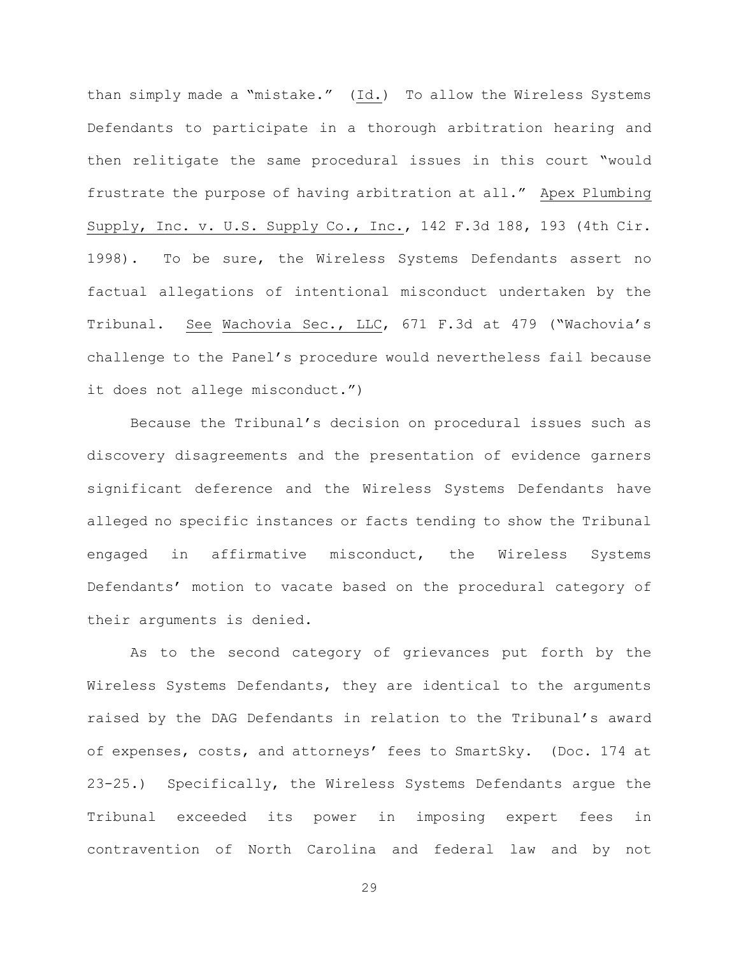than simply made a "mistake." (Id.) To allow the Wireless Systems Defendants to participate in a thorough arbitration hearing and then relitigate the same procedural issues in this court "would frustrate the purpose of having arbitration at all." Apex Plumbing Supply, Inc. v. U.S. Supply Co., Inc., 142 F.3d 188, 193 (4th Cir. 1998). To be sure, the Wireless Systems Defendants assert no factual allegations of intentional misconduct undertaken by the Tribunal. See Wachovia Sec., LLC, 671 F.3d at 479 ("Wachovia's challenge to the Panel's procedure would nevertheless fail because it does not allege misconduct.")

Because the Tribunal's decision on procedural issues such as discovery disagreements and the presentation of evidence garners significant deference and the Wireless Systems Defendants have alleged no specific instances or facts tending to show the Tribunal engaged in affirmative misconduct, the Wireless Systems Defendants' motion to vacate based on the procedural category of their arguments is denied.

As to the second category of grievances put forth by the Wireless Systems Defendants, they are identical to the arguments raised by the DAG Defendants in relation to the Tribunal's award of expenses, costs, and attorneys' fees to SmartSky. (Doc. 174 at 23-25.) Specifically, the Wireless Systems Defendants argue the Tribunal exceeded its power in imposing expert fees in contravention of North Carolina and federal law and by not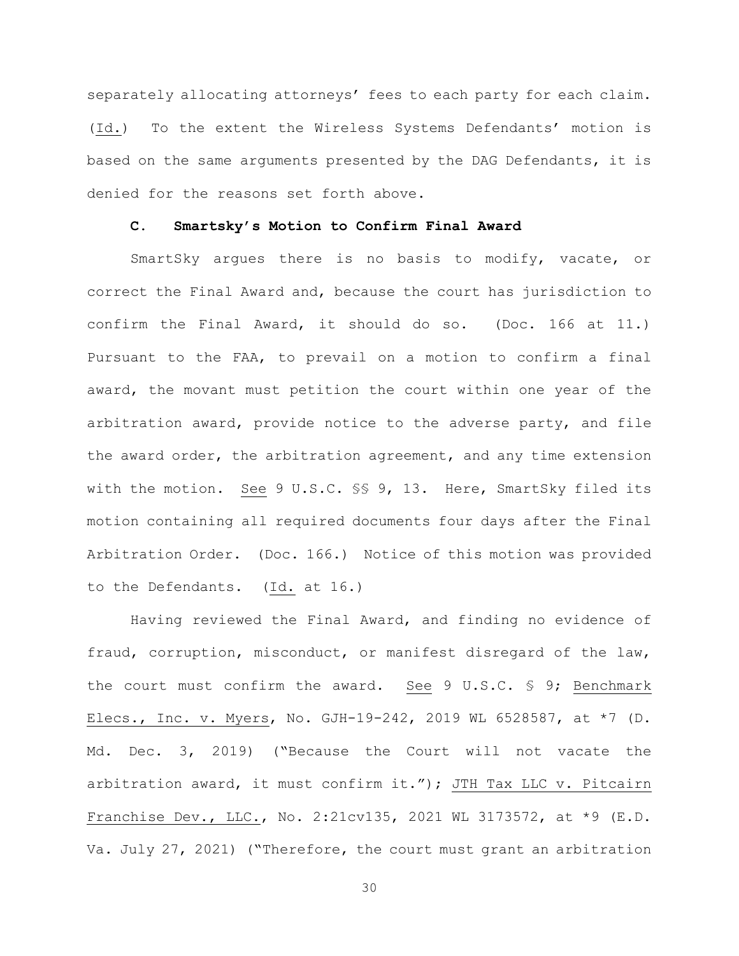separately allocating attorneys' fees to each party for each claim. (Id.) To the extent the Wireless Systems Defendants' motion is based on the same arguments presented by the DAG Defendants, it is denied for the reasons set forth above.

### **C. Smartsky's Motion to Confirm Final Award**

SmartSky argues there is no basis to modify, vacate, or correct the Final Award and, because the court has jurisdiction to confirm the Final Award, it should do so. (Doc. 166 at 11.) Pursuant to the FAA, to prevail on a motion to confirm a final award, the movant must petition the court within one year of the arbitration award, provide notice to the adverse party, and file the award order, the arbitration agreement, and any time extension with the motion. See 9 U.S.C. §§ 9, 13. Here, SmartSky filed its motion containing all required documents four days after the Final Arbitration Order. (Doc. 166.) Notice of this motion was provided to the Defendants. (Id. at 16.)

Having reviewed the Final Award, and finding no evidence of fraud, corruption, misconduct, or manifest disregard of the law, the court must confirm the award. See 9 U.S.C. § 9; Benchmark Elecs., Inc. v. Myers, No. GJH-19-242, 2019 WL 6528587, at \*7 (D. Md. Dec. 3, 2019) ("Because the Court will not vacate the arbitration award, it must confirm it."); JTH Tax LLC v. Pitcairn Franchise Dev., LLC., No. 2:21cv135, 2021 WL 3173572, at \*9 (E.D. Va. July 27, 2021) ("Therefore, the court must grant an arbitration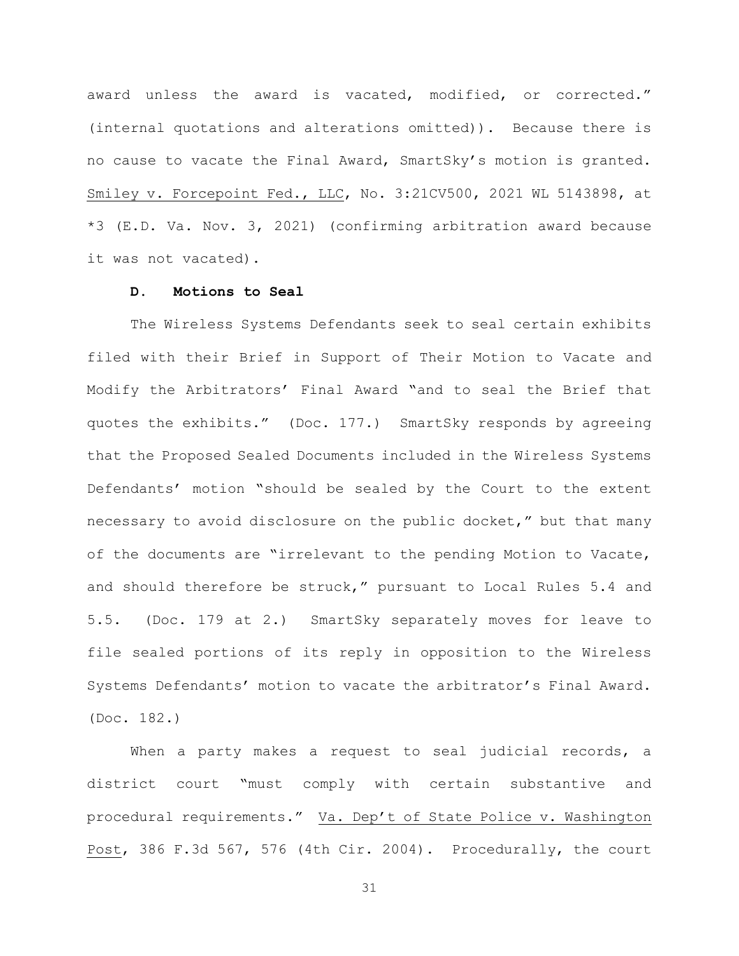award unless the award is vacated, modified, or corrected." (internal quotations and alterations omitted)). Because there is no cause to vacate the Final Award, SmartSky's motion is granted. Smiley v. Forcepoint Fed., LLC, No. 3:21CV500, 2021 WL 5143898, at \*3 (E.D. Va. Nov. 3, 2021) (confirming arbitration award because it was not vacated).

### **D. Motions to Seal**

The Wireless Systems Defendants seek to seal certain exhibits filed with their Brief in Support of Their Motion to Vacate and Modify the Arbitrators' Final Award "and to seal the Brief that quotes the exhibits." (Doc. 177.) SmartSky responds by agreeing that the Proposed Sealed Documents included in the Wireless Systems Defendants' motion "should be sealed by the Court to the extent necessary to avoid disclosure on the public docket," but that many of the documents are "irrelevant to the pending Motion to Vacate, and should therefore be struck," pursuant to Local Rules 5.4 and 5.5. (Doc. 179 at 2.) SmartSky separately moves for leave to file sealed portions of its reply in opposition to the Wireless Systems Defendants' motion to vacate the arbitrator's Final Award. (Doc. 182.)

When a party makes a request to seal judicial records, a district court "must comply with certain substantive and procedural requirements." Va. Dep't of State Police v. Washington Post, 386 F.3d 567, 576 (4th Cir. 2004). Procedurally, the court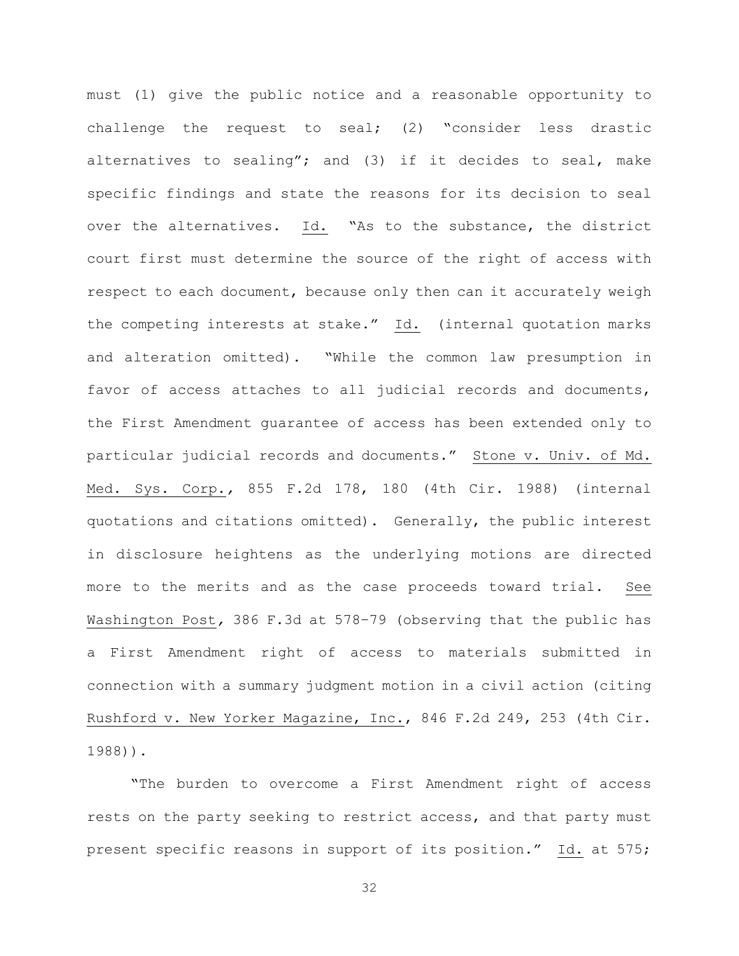must (1) give the public notice and a reasonable opportunity to challenge the request to seal; (2) "consider less drastic alternatives to sealing"; and (3) if it decides to seal, make specific findings and state the reasons for its decision to seal over the alternatives. Id. "As to the substance, the district court first must determine the source of the right of access with respect to each document, because only then can it accurately weigh the competing interests at stake."  $\underline{Id}$ . (internal quotation marks and alteration omitted). "While the common law presumption in favor of access attaches to all judicial records and documents, the First Amendment guarantee of access has been extended only to particular judicial records and documents." Stone v. Univ. of Md. Med. Sys. Corp.*,* 855 F.2d 178, 180 (4th Cir. 1988) (internal quotations and citations omitted). Generally, the public interest in disclosure heightens as the underlying motions are directed more to the merits and as the case proceeds toward trial. See Washington Post*,* 386 F.3d at 578–79 (observing that the public has a First Amendment right of access to materials submitted in connection with a summary judgment motion in a civil action (citing Rushford v. New Yorker Magazine, Inc., 846 F.2d 249, 253 (4th Cir. 1988)).

"The burden to overcome a First Amendment right of access rests on the party seeking to restrict access, and that party must present specific reasons in support of its position." Id. at 575;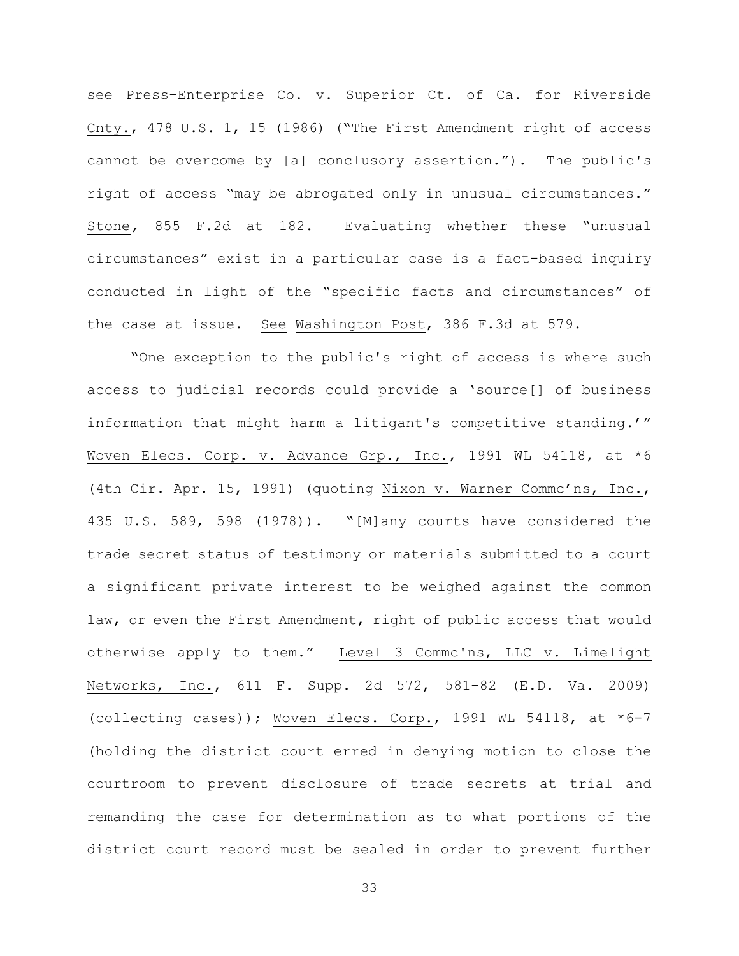see Press–Enterprise Co. v. Superior Ct. of Ca. for Riverside Cnty., 478 U.S. 1, 15 (1986) ("The First Amendment right of access cannot be overcome by [a] conclusory assertion."). The public's right of access "may be abrogated only in unusual circumstances." Stone*,* 855 F.2d at 182. Evaluating whether these "unusual circumstances" exist in a particular case is a fact-based inquiry conducted in light of the "specific facts and circumstances" of the case at issue. See Washington Post, 386 F.3d at 579.

"One exception to the public's right of access is where such access to judicial records could provide a 'source[] of business information that might harm a litigant's competitive standing.'" Woven Elecs. Corp. v. Advance Grp., Inc., 1991 WL 54118, at \*6 (4th Cir. Apr. 15, 1991) (quoting Nixon v. Warner Commc'ns, Inc., 435 U.S. 589, 598 (1978)). "[M]any courts have considered the trade secret status of testimony or materials submitted to a court a significant private interest to be weighed against the common law, or even the First Amendment, right of public access that would otherwise apply to them." Level 3 Commc'ns, LLC v. Limelight Networks, Inc., 611 F. Supp. 2d 572, 581–82 (E.D. Va. 2009) (collecting cases)); Woven Elecs. Corp., 1991 WL 54118, at \*6-7 (holding the district court erred in denying motion to close the courtroom to prevent disclosure of trade secrets at trial and remanding the case for determination as to what portions of the district court record must be sealed in order to prevent further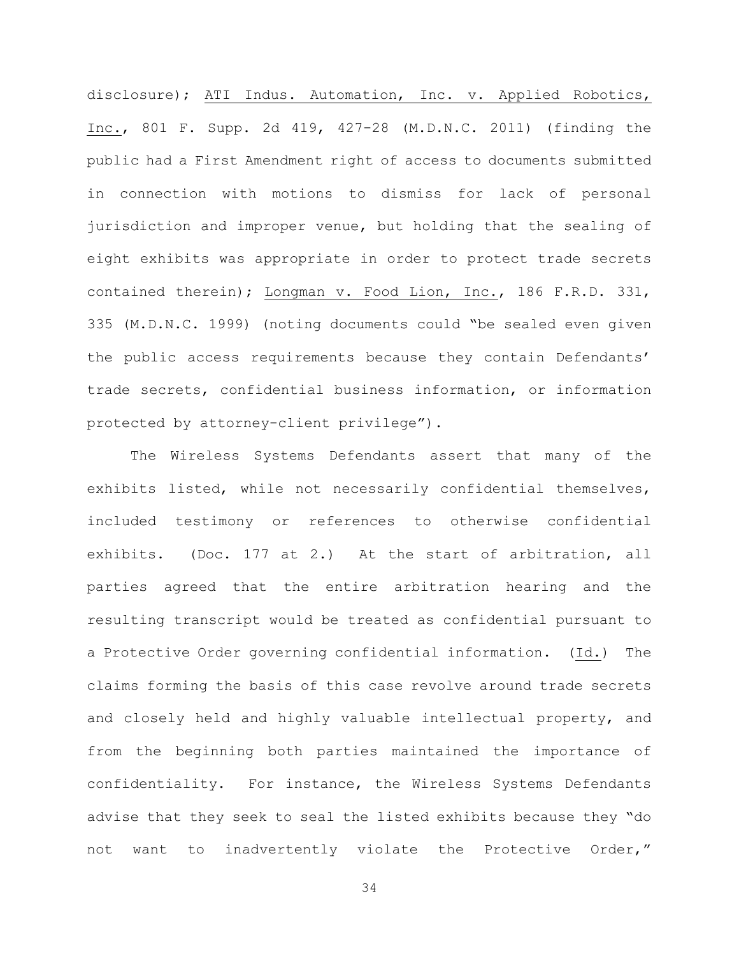disclosure); ATI Indus. Automation, Inc. v. Applied Robotics, Inc., 801 F. Supp. 2d 419, 427-28 (M.D.N.C. 2011) (finding the public had a First Amendment right of access to documents submitted in connection with motions to dismiss for lack of personal jurisdiction and improper venue, but holding that the sealing of eight exhibits was appropriate in order to protect trade secrets contained therein); Longman v. Food Lion, Inc., 186 F.R.D. 331, 335 (M.D.N.C. 1999) (noting documents could "be sealed even given the public access requirements because they contain Defendants' trade secrets, confidential business information, or information protected by attorney-client privilege").

The Wireless Systems Defendants assert that many of the exhibits listed, while not necessarily confidential themselves, included testimony or references to otherwise confidential exhibits. (Doc. 177 at 2.) At the start of arbitration, all parties agreed that the entire arbitration hearing and the resulting transcript would be treated as confidential pursuant to a Protective Order governing confidential information. (Id.) The claims forming the basis of this case revolve around trade secrets and closely held and highly valuable intellectual property, and from the beginning both parties maintained the importance of confidentiality. For instance, the Wireless Systems Defendants advise that they seek to seal the listed exhibits because they "do not want to inadvertently violate the Protective Order,"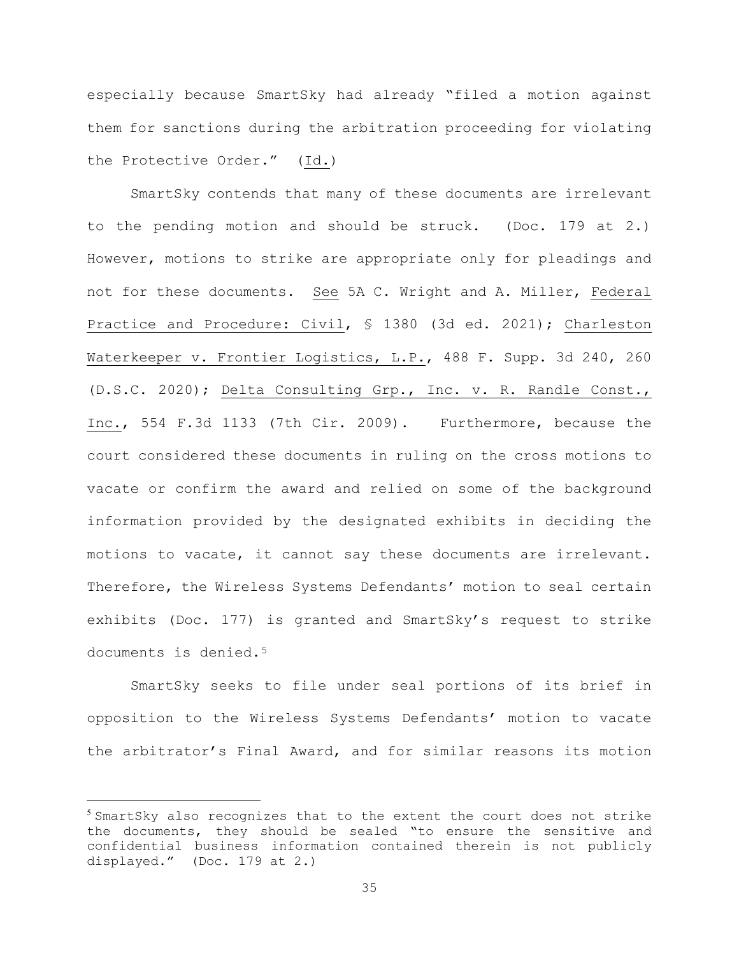especially because SmartSky had already "filed a motion against them for sanctions during the arbitration proceeding for violating the Protective Order." (Id.)

SmartSky contends that many of these documents are irrelevant to the pending motion and should be struck. (Doc. 179 at 2.) However, motions to strike are appropriate only for pleadings and not for these documents. See 5A C. Wright and A. Miller, Federal Practice and Procedure: Civil, § 1380 (3d ed. 2021); Charleston Waterkeeper v. Frontier Logistics, L.P., 488 F. Supp. 3d 240, 260 (D.S.C. 2020); Delta Consulting Grp., Inc. v. R. Randle Const., Inc., 554 F.3d 1133 (7th Cir. 2009). Furthermore, because the court considered these documents in ruling on the cross motions to vacate or confirm the award and relied on some of the background information provided by the designated exhibits in deciding the motions to vacate, it cannot say these documents are irrelevant. Therefore, the Wireless Systems Defendants' motion to seal certain exhibits (Doc. 177) is granted and SmartSky's request to strike documents is denied.<sup>5</sup>

SmartSky seeks to file under seal portions of its brief in opposition to the Wireless Systems Defendants' motion to vacate the arbitrator's Final Award, and for similar reasons its motion

 $5$  SmartSky also recognizes that to the extent the court does not strike the documents, they should be sealed "to ensure the sensitive and confidential business information contained therein is not publicly displayed." (Doc. 179 at 2.)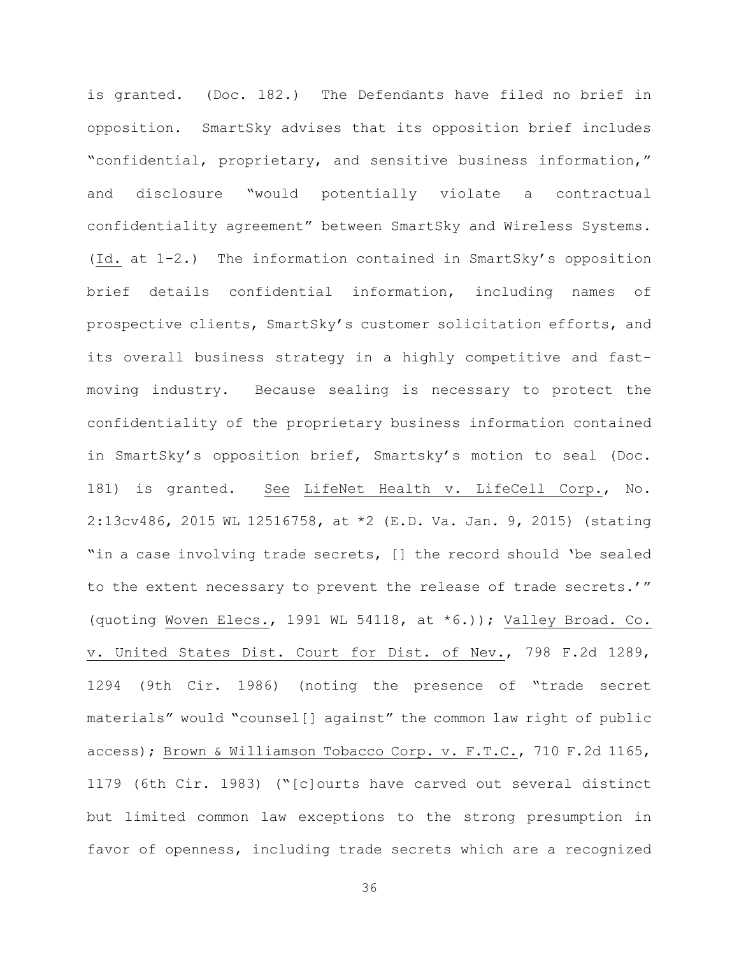is granted. (Doc. 182.) The Defendants have filed no brief in opposition. SmartSky advises that its opposition brief includes "confidential, proprietary, and sensitive business information," and disclosure "would potentially violate a contractual confidentiality agreement" between SmartSky and Wireless Systems. (Id. at 1-2.) The information contained in SmartSky's opposition brief details confidential information, including names of prospective clients, SmartSky's customer solicitation efforts, and its overall business strategy in a highly competitive and fastmoving industry. Because sealing is necessary to protect the confidentiality of the proprietary business information contained in SmartSky's opposition brief, Smartsky's motion to seal (Doc. 181) is granted. See LifeNet Health v. LifeCell Corp., No. 2:13cv486, 2015 WL 12516758, at \*2 (E.D. Va. Jan. 9, 2015) (stating "in a case involving trade secrets, [] the record should 'be sealed to the extent necessary to prevent the release of trade secrets.'" (quoting Woven Elecs., 1991 WL 54118, at  $*(6.))$ ; Valley Broad. Co. v. United States Dist. Court for Dist. of Nev., 798 F.2d 1289, 1294 (9th Cir. 1986) (noting the presence of "trade secret materials" would "counsel[] against" the common law right of public access); Brown & Williamson Tobacco Corp. v. F.T.C., 710 F.2d 1165, 1179 (6th Cir. 1983) ("[c]ourts have carved out several distinct but limited common law exceptions to the strong presumption in favor of openness, including trade secrets which are a recognized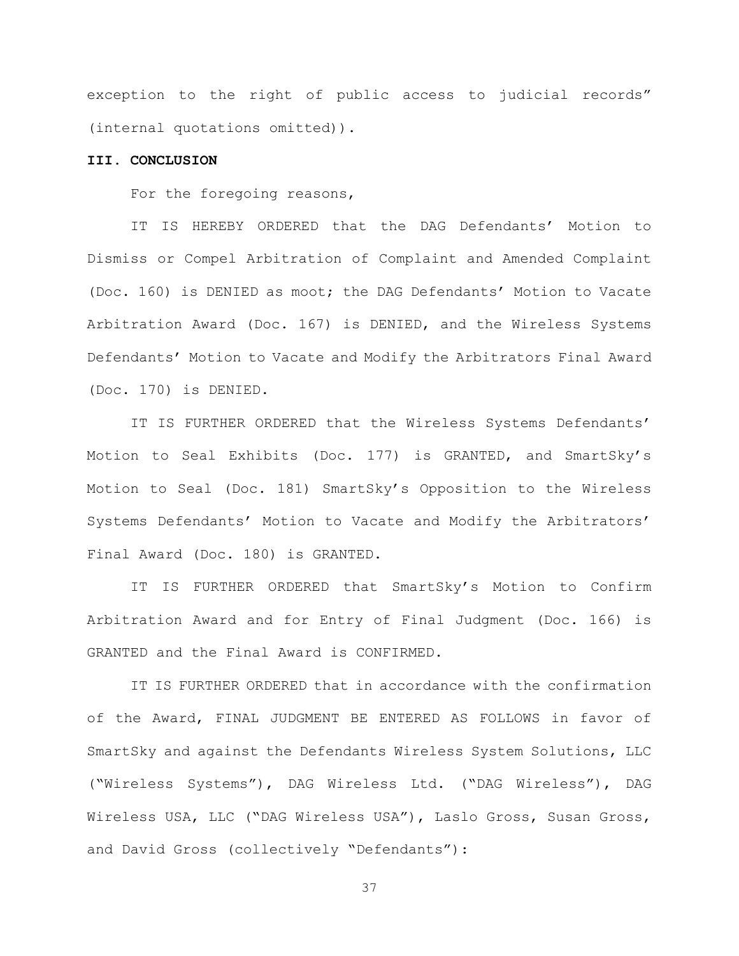exception to the right of public access to judicial records" (internal quotations omitted)).

### **III. CONCLUSION**

For the foregoing reasons,

IT IS HEREBY ORDERED that the DAG Defendants' Motion to Dismiss or Compel Arbitration of Complaint and Amended Complaint (Doc. 160) is DENIED as moot; the DAG Defendants' Motion to Vacate Arbitration Award (Doc. 167) is DENIED, and the Wireless Systems Defendants' Motion to Vacate and Modify the Arbitrators Final Award (Doc. 170) is DENIED.

IT IS FURTHER ORDERED that the Wireless Systems Defendants' Motion to Seal Exhibits (Doc. 177) is GRANTED, and SmartSky's Motion to Seal (Doc. 181) SmartSky's Opposition to the Wireless Systems Defendants' Motion to Vacate and Modify the Arbitrators' Final Award (Doc. 180) is GRANTED.

IT IS FURTHER ORDERED that SmartSky's Motion to Confirm Arbitration Award and for Entry of Final Judgment (Doc. 166) is GRANTED and the Final Award is CONFIRMED.

IT IS FURTHER ORDERED that in accordance with the confirmation of the Award, FINAL JUDGMENT BE ENTERED AS FOLLOWS in favor of SmartSky and against the Defendants Wireless System Solutions, LLC ("Wireless Systems"), DAG Wireless Ltd. ("DAG Wireless"), DAG Wireless USA, LLC ("DAG Wireless USA"), Laslo Gross, Susan Gross, and David Gross (collectively "Defendants"):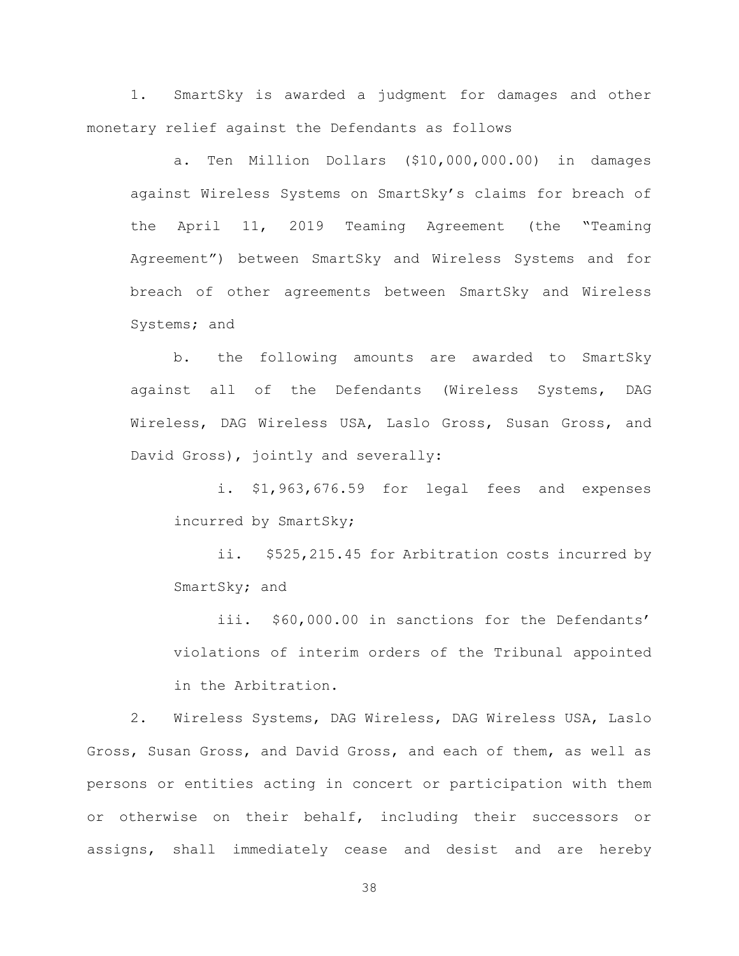1. SmartSky is awarded a judgment for damages and other monetary relief against the Defendants as follows

a. Ten Million Dollars (\$10,000,000.00) in damages against Wireless Systems on SmartSky's claims for breach of the April 11, 2019 Teaming Agreement (the "Teaming Agreement") between SmartSky and Wireless Systems and for breach of other agreements between SmartSky and Wireless Systems; and

b. the following amounts are awarded to SmartSky against all of the Defendants (Wireless Systems, DAG Wireless, DAG Wireless USA, Laslo Gross, Susan Gross, and David Gross), jointly and severally:

i. \$1,963,676.59 for legal fees and expenses incurred by SmartSky;

ii. \$525,215.45 for Arbitration costs incurred by SmartSky; and

iii. \$60,000.00 in sanctions for the Defendants' violations of interim orders of the Tribunal appointed in the Arbitration.

2. Wireless Systems, DAG Wireless, DAG Wireless USA, Laslo Gross, Susan Gross, and David Gross, and each of them, as well as persons or entities acting in concert or participation with them or otherwise on their behalf, including their successors or assigns, shall immediately cease and desist and are hereby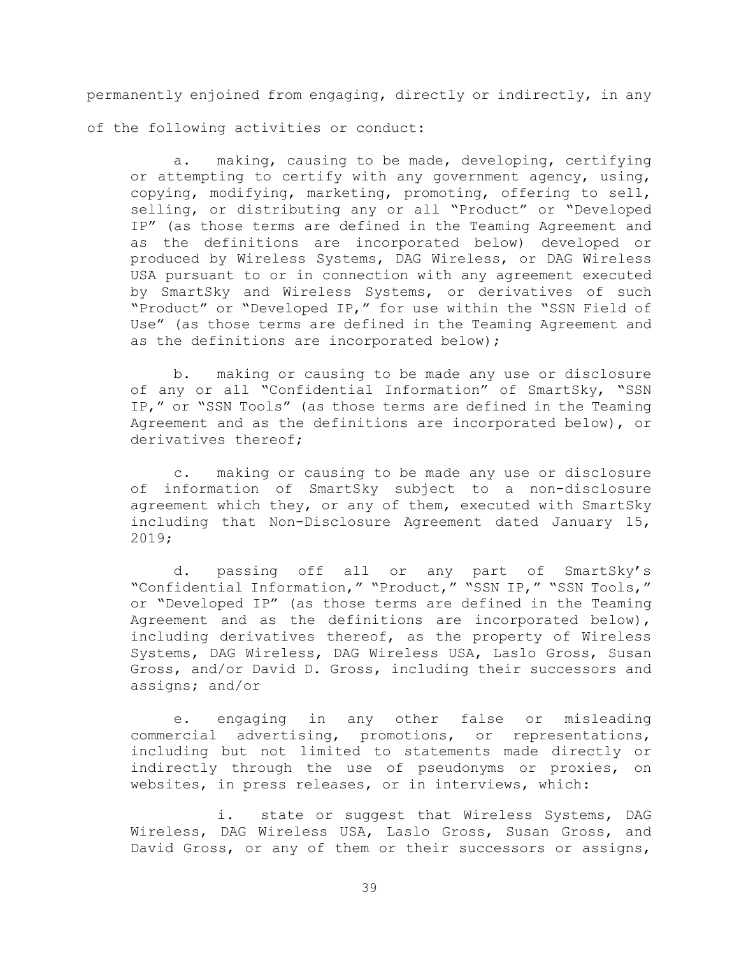permanently enjoined from engaging, directly or indirectly, in any of the following activities or conduct:

a. making, causing to be made, developing, certifying or attempting to certify with any government agency, using, copying, modifying, marketing, promoting, offering to sell, selling, or distributing any or all "Product" or "Developed IP" (as those terms are defined in the Teaming Agreement and as the definitions are incorporated below) developed or produced by Wireless Systems, DAG Wireless, or DAG Wireless USA pursuant to or in connection with any agreement executed by SmartSky and Wireless Systems, or derivatives of such "Product" or "Developed IP," for use within the "SSN Field of Use" (as those terms are defined in the Teaming Agreement and as the definitions are incorporated below);

b. making or causing to be made any use or disclosure of any or all "Confidential Information" of SmartSky, "SSN IP," or "SSN Tools" (as those terms are defined in the Teaming Agreement and as the definitions are incorporated below), or derivatives thereof;

c. making or causing to be made any use or disclosure of information of SmartSky subject to a non-disclosure agreement which they, or any of them, executed with SmartSky including that Non-Disclosure Agreement dated January 15, 2019;

d. passing off all or any part of SmartSky's "Confidential Information," "Product," "SSN IP," "SSN Tools," or "Developed IP" (as those terms are defined in the Teaming Agreement and as the definitions are incorporated below), including derivatives thereof, as the property of Wireless Systems, DAG Wireless, DAG Wireless USA, Laslo Gross, Susan Gross, and/or David D. Gross, including their successors and assigns; and/or

e. engaging in any other false or misleading commercial advertising, promotions, or representations, including but not limited to statements made directly or indirectly through the use of pseudonyms or proxies, on websites, in press releases, or in interviews, which:

i. state or suggest that Wireless Systems, DAG Wireless, DAG Wireless USA, Laslo Gross, Susan Gross, and David Gross, or any of them or their successors or assigns,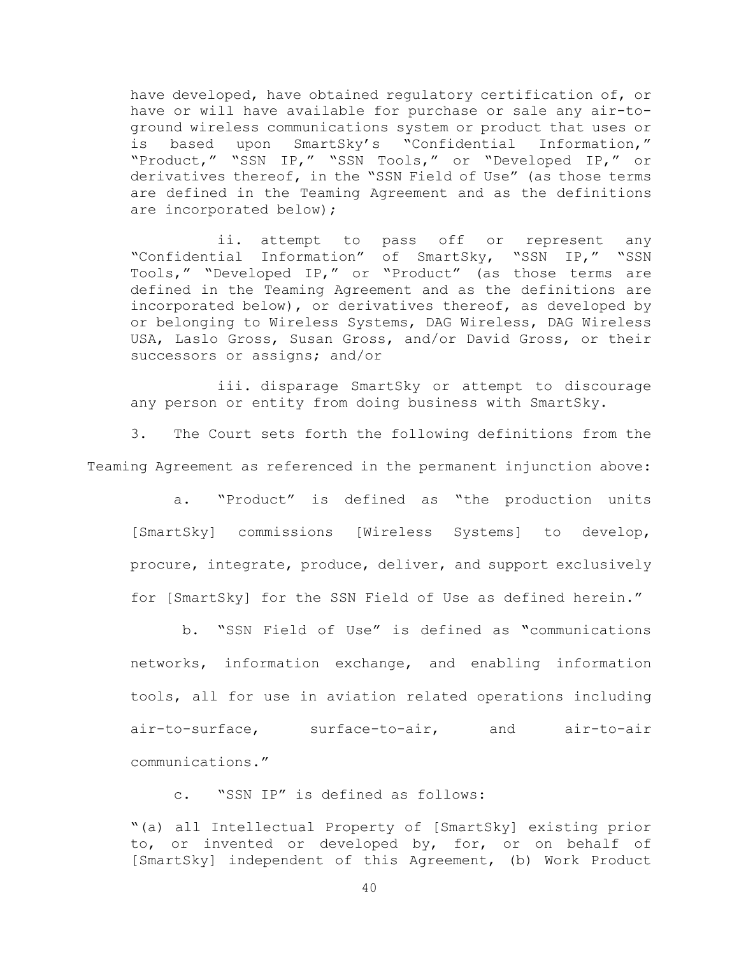have developed, have obtained regulatory certification of, or have or will have available for purchase or sale any air-toground wireless communications system or product that uses or is based upon SmartSky's "Confidential Information," "Product," "SSN IP," "SSN Tools," or "Developed IP," or derivatives thereof, in the "SSN Field of Use" (as those terms are defined in the Teaming Agreement and as the definitions are incorporated below);

ii. attempt to pass off or represent any "Confidential Information" of SmartSky, "SSN IP," "SSN Tools," "Developed IP," or "Product" (as those terms are defined in the Teaming Agreement and as the definitions are incorporated below), or derivatives thereof, as developed by or belonging to Wireless Systems, DAG Wireless, DAG Wireless USA, Laslo Gross, Susan Gross, and/or David Gross, or their successors or assigns; and/or

iii. disparage SmartSky or attempt to discourage any person or entity from doing business with SmartSky.

3. The Court sets forth the following definitions from the Teaming Agreement as referenced in the permanent injunction above:

a. "Product" is defined as "the production units [SmartSky] commissions [Wireless Systems] to develop, procure, integrate, produce, deliver, and support exclusively for [SmartSky] for the SSN Field of Use as defined herein."

b. "SSN Field of Use" is defined as **"**communications networks, information exchange, and enabling information tools, all for use in aviation related operations including air-to-surface, surface-to-air, and air-to-air communications."

c. "SSN IP" is defined as follows:

"(a) all Intellectual Property of [SmartSky] existing prior to, or invented or developed by, for, or on behalf of [SmartSky] independent of this Agreement, (b) Work Product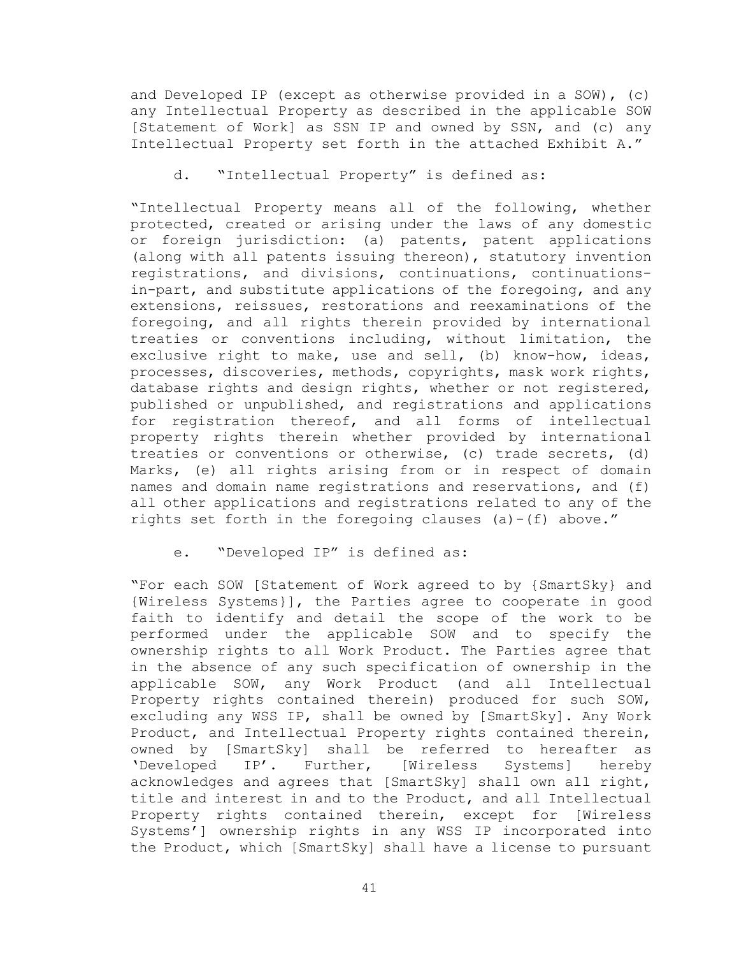and Developed IP (except as otherwise provided in a SOW), (c) any Intellectual Property as described in the applicable SOW [Statement of Work] as SSN IP and owned by SSN, and (c) any Intellectual Property set forth in the attached Exhibit A."

d. "Intellectual Property" is defined as:

"Intellectual Property means all of the following, whether protected, created or arising under the laws of any domestic or foreign jurisdiction: (a) patents, patent applications (along with all patents issuing thereon), statutory invention registrations, and divisions, continuations, continuationsin-part, and substitute applications of the foregoing, and any extensions, reissues, restorations and reexaminations of the foregoing, and all rights therein provided by international treaties or conventions including, without limitation, the exclusive right to make, use and sell, (b) know-how, ideas, processes, discoveries, methods, copyrights, mask work rights, database rights and design rights, whether or not registered, published or unpublished, and registrations and applications for registration thereof, and all forms of intellectual property rights therein whether provided by international treaties or conventions or otherwise, (c) trade secrets, (d) Marks, (e) all rights arising from or in respect of domain names and domain name registrations and reservations, and (f) all other applications and registrations related to any of the rights set forth in the foregoing clauses (a)-(f) above."

e. "Developed IP" is defined as:

"For each SOW [Statement of Work agreed to by {SmartSky} and {Wireless Systems}], the Parties agree to cooperate in good faith to identify and detail the scope of the work to be performed under the applicable SOW and to specify the ownership rights to all Work Product. The Parties agree that in the absence of any such specification of ownership in the applicable SOW, any Work Product (and all Intellectual Property rights contained therein) produced for such SOW, excluding any WSS IP, shall be owned by [SmartSky]. Any Work Product, and Intellectual Property rights contained therein, owned by [SmartSky] shall be referred to hereafter as<br>'Developed IP'. Further, [Wireless Systems] hereby IP'. Further, [Wireless Systems] hereby acknowledges and agrees that [SmartSky] shall own all right, title and interest in and to the Product, and all Intellectual Property rights contained therein, except for [Wireless Systems'] ownership rights in any WSS IP incorporated into the Product, which [SmartSky] shall have a license to pursuant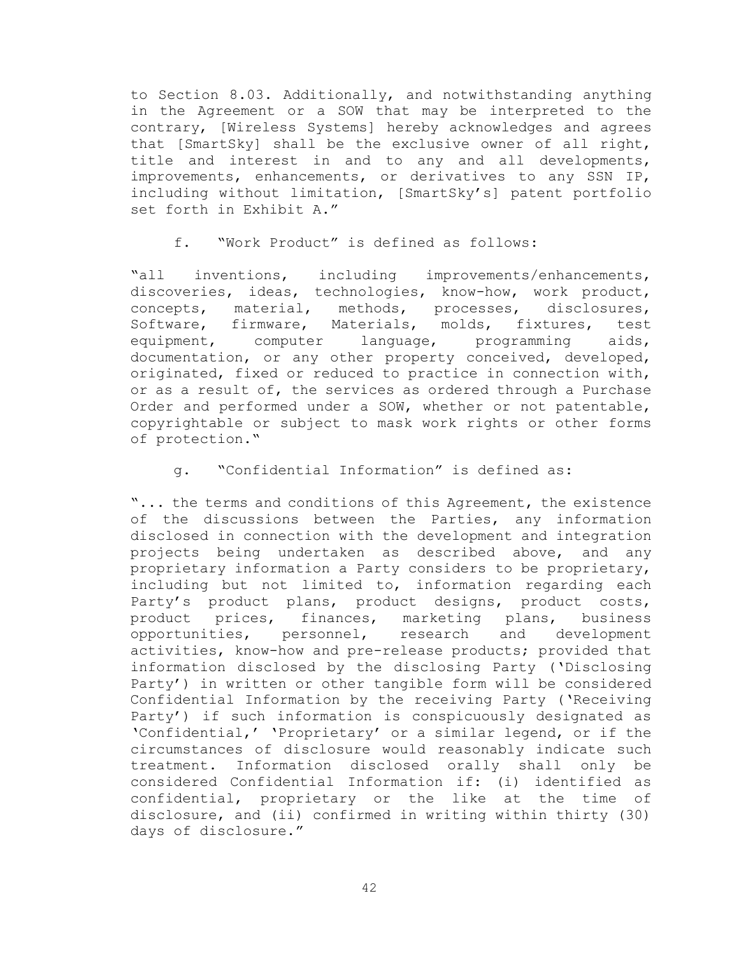to Section 8.03. Additionally, and notwithstanding anything in the Agreement or a SOW that may be interpreted to the contrary, [Wireless Systems] hereby acknowledges and agrees that [SmartSky] shall be the exclusive owner of all right, title and interest in and to any and all developments, improvements, enhancements, or derivatives to any SSN IP, including without limitation, [SmartSky's] patent portfolio set forth in Exhibit A."

f. "Work Product" is defined as follows:

"all inventions, including improvements/enhancements, discoveries, ideas, technologies, know-how, work product, concepts, material, methods, processes, disclosures,<br>Software, firmware, Materials, molds, fixtures, test Software, firmware, Materials, molds, fixtures, test<br>equipment, computer language, programming aids, equipment, computer language, programming aids, documentation, or any other property conceived, developed, originated, fixed or reduced to practice in connection with, or as a result of, the services as ordered through a Purchase Order and performed under a SOW, whether or not patentable, copyrightable or subject to mask work rights or other forms of protection."

# g. "Confidential Information" is defined as:

"... the terms and conditions of this Agreement, the existence of the discussions between the Parties, any information disclosed in connection with the development and integration projects being undertaken as described above, and any proprietary information a Party considers to be proprietary, including but not limited to, information regarding each Party's product plans, product designs, product costs,<br>product prices, finances, marketing plans, business marketing plans, business<br>research and development opportunities, personnel, research and development activities, know-how and pre-release products; provided that information disclosed by the disclosing Party ('Disclosing Party') in written or other tangible form will be considered Confidential Information by the receiving Party ('Receiving Party') if such information is conspicuously designated as 'Confidential,' 'Proprietary' or a similar legend, or if the circumstances of disclosure would reasonably indicate such treatment. Information disclosed orally shall only be considered Confidential Information if: (i) identified as confidential, proprietary or the like at the time of disclosure, and (ii) confirmed in writing within thirty (30) days of disclosure."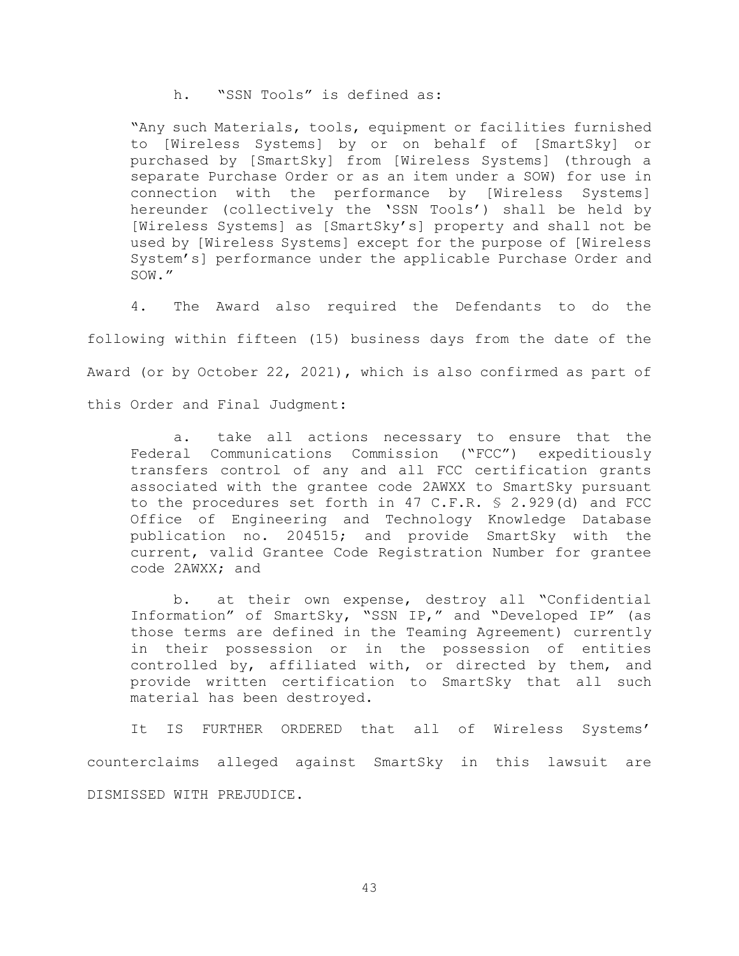h. "SSN Tools" is defined as:

"Any such Materials, tools, equipment or facilities furnished to [Wireless Systems] by or on behalf of [SmartSky] or purchased by [SmartSky] from [Wireless Systems] (through a separate Purchase Order or as an item under a SOW) for use in connection with the performance by [Wireless Systems] hereunder (collectively the 'SSN Tools') shall be held by [Wireless Systems] as [SmartSky's] property and shall not be used by [Wireless Systems] except for the purpose of [Wireless System's] performance under the applicable Purchase Order and SOW."

4. The Award also required the Defendants to do the following within fifteen (15) business days from the date of the Award (or by October 22, 2021), which is also confirmed as part of this Order and Final Judgment:

a. take all actions necessary to ensure that the Federal Communications Commission ("FCC") expeditiously transfers control of any and all FCC certification grants associated with the grantee code 2AWXX to SmartSky pursuant to the procedures set forth in 47 C.F.R. § 2.929(d) and FCC Office of Engineering and Technology Knowledge Database publication no. 204515; and provide SmartSky with the current, valid Grantee Code Registration Number for grantee code 2AWXX; and

b. at their own expense, destroy all "Confidential Information" of SmartSky, "SSN IP," and "Developed IP" (as those terms are defined in the Teaming Agreement) currently in their possession or in the possession of entities controlled by, affiliated with, or directed by them, and provide written certification to SmartSky that all such material has been destroyed.

It IS FURTHER ORDERED that all of Wireless Systems' counterclaims alleged against SmartSky in this lawsuit are DISMISSED WITH PREJUDICE.